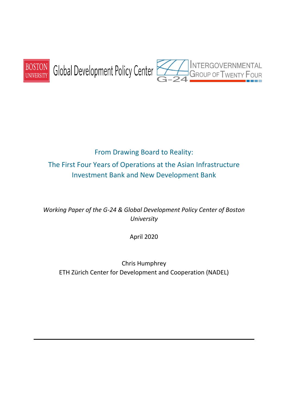

# From Drawing Board to Reality: The First Four Years of Operations at the Asian Infrastructure Investment Bank and New Development Bank

*Working Paper of the G-24 & Global Development Policy Center of Boston University*

April 2020

Chris Humphrey ETH Zürich Center for Development and Cooperation (NADEL)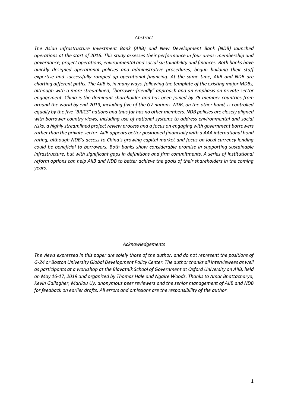#### *Abstract*

*The Asian Infrastructure Investment Bank (AIIB) and New Development Bank (NDB) launched operations at the start of 2016. This study assesses their performance in four areas: membership and governance, project operations, environmental and social sustainability and finances. Both banks have quickly designed operational policies and administrative procedures, begun building their staff expertise and successfully ramped up operational financing. At the same time, AIIB and NDB are charting different paths. The AIIB is, in many ways, following the template of the existing major MDBs, although with a more streamlined, "borrower-friendly" approach and an emphasis on private sector engagement. China is the dominant shareholder and has been joined by 75 member countries from around the world by end-2019, including five of the G7 nations. NDB, on the other hand, is controlled equally by the five "BRICS" nations and thus far has no other members. NDB policies are closely aligned with borrower country views, including use of national systems to address environmental and social risks, a highly streamlined project review process and a focus on engaging with government borrowers rather than the private sector. AIIB appears better positioned financially with a AAA international bond rating, although NDB's access to China's growing capital market and focus on local currency lending could be beneficial to borrowers. Both banks show considerable promise in supporting sustainable infrastructure, but with significant gaps in definitions and firm commitments. A series of institutional reform options can help AIIB and NDB to better achieve the goals of their shareholders in the coming years.* 

#### *Acknowledgements*

*The views expressed in this paper are solely those of the author, and do not represent the positions of G-24 or Boston University Global Development Policy Center. The author thanks all interviewees as well as participants at a workshop at the Blavatnik School of Government at Oxford University on AIIB, held on May 16-17, 2019 and organized by Thomas Hale and Ngaire Woods. Thanks to Amar Bhattacharya, Kevin Gallagher, Marilou Uy, anonymous peer reviewers and the senior management of AIIB and NDB for feedback on earlier drafts. All errors and omissions are the responsibility of the author.*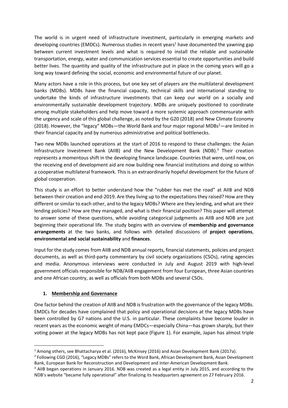The world is in urgent need of infrastructure investment, particularly in emerging markets and developing countries (EMDCs). Numerous studies in recent years<sup>1</sup> have documented the yawning gap between current investment levels and what is required to install the reliable and sustainable transportation, energy, water and communication services essential to create opportunities and build better lives. The quantity and quality of the infrastructure put in place in the coming years will go a long way toward defining the social, economic and environmental future of our planet.

Many actors have a role in this process, but one key set of players are the multilateral development banks (MDBs). MDBs have the financial capacity, technical skills and international standing to undertake the kinds of infrastructure investments that can keep our world on a socially and environmentally sustainable development trajectory. MDBs are uniquely positioned to coordinate among multiple stakeholders and help move toward a more systemic approach commensurate with the urgency and scale of this global challenge, as noted by the G20 (2018) and New Climate Economy (2018). However, the "legacy" MDBs—the World Bank and four major regional MDBs<sup>2</sup>—are limited in their financial capacity and by numerous administrative and political bottlenecks.

Two new MDBs launched operations at the start of 2016 to respond to these challenges: the Asian Infrastructure Investment Bank (AIIB) and the New Development Bank (NDB). $^3$  Their creation represents a momentous shift in the developing finance landscape. Countries that were, until now, on the receiving end of development aid are now building new financial institutions and doing so within a cooperative multilateral framework. This is an extraordinarily hopeful development for the future of global cooperation.

This study is an effort to better understand how the "rubber has met the road" at AIIB and NDB between their creation and end-2019. Are they living up to the expectations they raised? How are they different or similar to each other, and to the legacy MDBs? Where are they lending, and what are their lending policies? How are they managed, and what is their financial position? This paper will attempt to answer some of these questions, while avoiding categorical judgments as AIIB and NDB are just beginning their operational life. The study begins with an overview of **membership and governance arrangements** at the two banks, and follows with detailed discussions of **project operations**, **environmental and social sustainability** and **finances**.

Input for the study comes from AIIB and NDB annual reports, financial statements, policies and project documents, as well as third-party commentary by civil society organizations (CSOs), rating agencies and media. Anonymous interviews were conducted in July and August 2019 with high-level government officials responsible for NDB/AIIB engagement from four European, three Asian countries and one African country, as well as officials from both MDBs and several CSOs.

## **1. Membership and Governance**

One factor behind the creation of AIIB and NDB is frustration with the governance of the legacy MDBs. EMDCs for decades have complained that policy and operational decisions at the legacy MDBs have been controlled by G7 nations and the U.S. in particular. These complaints have become louder in recent years as the economic weight of many EMDCs—especially China—has grown sharply, but their voting power at the legacy MDBs has not kept pace (Figure 1). For example, Japan has almost triple

<sup>1</sup> Among others, see Bhattacharya et al. (2016), McKinsey (2016) and Asian Development Bank (2017a).

<sup>&</sup>lt;sup>2</sup> Following CGD (2016), "Legacy MDBs" refers to the Word Bank, African Development Bank, Asian Development Bank, European Bank for Reconstruction and Development and Inter-American Development Bank.

<sup>&</sup>lt;sup>3</sup> AIIB began operations in January 2016. NDB was created as a legal entity in July 2015, and according to the NDB's website "became fully operational" after finalizing its headquarters agreement on 27 February 2016.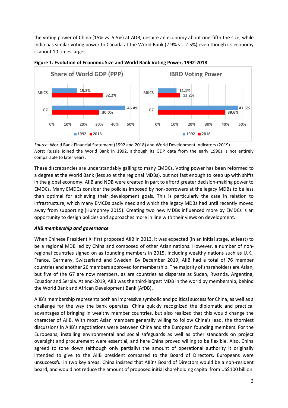the voting power of China (15% vs. 5.5%) at ADB, despite an economy about one-fifth the size, while India has similar voting power to Canada at the World Bank (2.9% vs. 2.5%) even though its economy is about 10 times larger.





*Source*: World Bank Financial Statement (1992 and 2018) and World Development Indicators (2019). *Note*: Russia joined the World Bank in 1992, although its GDP data from the early 1990s is not entirely comparable to later years.

These discrepancies are understandably galling to many EMDCs. Voting power has been reformed to a degree at the World Bank (less so at the regional MDBs), but not fast enough to keep up with shifts in the global economy. AIIB and NDB were created in part to afford greater decision-making power to EMDCs. Many EMDCs consider the policies imposed by non-borrowers at the legacy MDBs to be less than optimal for achieving their development goals. This is particularly the case in relation to infrastructure, which many EMCDs badly need and which the legacy MDBs had until recently moved away from supporting (Humphrey 2015). Creating two new MDBs influenced more by EMDCs is an opportunity to design policies and approaches more in line with their views on development.

## *AIIB membership and governance*

When Chinese President Xi first proposed AIIB in 2013, it was expected (in an initial stage, at least) to be a regional MDB led by China and composed of other Asian nations. However, a number of nonregional countries signed on as founding members in 2015, including wealthy nations such as U.K., France, Germany, Switzerland and Sweden. By December 2019, AIIB had a total of 76 member countries and another 26 members approved for membership. The majority of shareholders are Asian, but five of the G7 are now members, as are countries as disparate as Sudan, Rwanda, Argentina, Ecuador and Serbia. At end-2019, AIIB was the third-largest MDB in the world by membership, behind the World Bank and African Development Bank (AfDB).

AIIB's membership represents both an impressive symbolic and political success for China, as well as a challenge for the way the bank operates. China quickly recognized the diplomatic and practical advantages of bringing in wealthy member countries, but also realized that this would change the character of AIIB. With most Asian members generally willing to follow China's lead, the thorniest discussions in AIIB's negotiations were between China and the European founding members. For the Europeans, installing environmental and social safeguards as well as other standards on project oversight and procurement were essential, and here China proved willing to be flexible. Also, China agreed to tone down (although only partially) the amount of operational authority it originally intended to give to the AIIB president compared to the Board of Directors. Europeans were unsuccessful in two key areas: China insisted that AIIB's Board of Directors would be a non-resident board, and would not reduce the amount of proposed initial shareholding capital from US\$100 billion.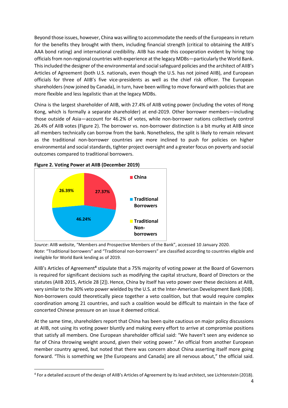Beyond those issues, however, China was willing to accommodate the needs of the Europeans in return for the benefits they brought with them, including financial strength (critical to obtaining the AIIB's AAA bond rating) and international credibility. AIIB has made this cooperation evident by hiring top officials from non-regional countries with experience at the legacy MDBs—particularly the World Bank. This included the designer of the environmental and social safeguard policies and the architect of AIIB's Articles of Agreement (both U.S. nationals, even though the U.S. has not joined AIIB), and European officials for three of AIIB's five vice-presidents as well as the chief risk officer. The European shareholders (now joined by Canada), in turn, have been willing to move forward with policies that are more flexible and less legalistic than at the legacy MDBs.

China is the largest shareholder of AIIB, with 27.4% of AIIB voting power (including the votes of Hong Kong, which is formally a separate shareholder) at end-2019. Other borrower members—including those outside of Asia—account for 46.2% of votes, while non-borrower nations collectively control 26.4% of AIIB votes (Figure 2). The borrower vs. non-borrower distinction is a bit murky at AIIB since all members technically can borrow from the bank. Nonetheless, the split is likely to remain relevant as the traditional non-borrower countries are more inclined to push for policies on higher environmental and social standards, tighter project oversight and a greater focus on poverty and social outcomes compared to traditional borrowers.



**Figure 2. Voting Power at AIIB (December 2019)**

*Source*: AIIB website, "Members and Prospective Members of the Bank", accessed 10 January 2020. *Note*: "Traditional borrowers" and "Traditional non-borrowers" are classified according to countries eligible and ineligible for World Bank lending as of 2019.

AIIB's Articles of Agreement<sup>4</sup> stipulate that a 75% majority of voting power at the Board of Governors is required for significant decisions such as modifying the capital structure, Board of Directors or the statutes (AIIB 2015, Article 28 [2]). Hence, China by itself has veto power over these decisions at AIIB, very similar to the 30% veto power wielded by the U.S. at the Inter-American Development Bank (IDB). Non-borrowers could theoretically piece together a veto coalition, but that would require complex coordination among 21 countries, and such a coalition would be difficult to maintain in the face of concerted Chinese pressure on an issue it deemed critical.

At the same time, shareholders report that China has been quite cautious on major policy discussions at AIIB, not using its voting power bluntly and making every effort to arrive at compromise positions that satisfy all members. One European shareholder official said: "We haven't seen any evidence so far of China throwing weight around, given their voting power." An official from another European member country agreed, but noted that there was concern about China asserting itself more going forward. "This is something we [the Europeans and Canada] are all nervous about," the official said.

<sup>&</sup>lt;sup>4</sup> For a detailed account of the design of AIIB's Articles of Agreement by its lead architect, see Lichtenstein (2018).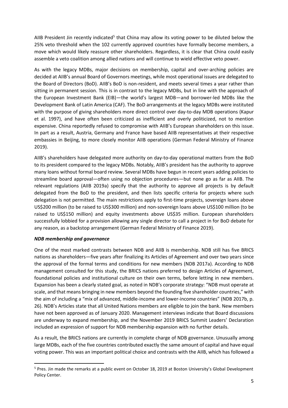AIIB President Jin recently indicated<sup>5</sup> that China may allow its voting power to be diluted below the 25% veto threshold when the 102 currently approved countries have formally become members, a move which would likely reassure other shareholders. Regardless, it is clear that China could easily assemble a veto coalition among allied nations and will continue to wield effective veto power.

As with the legacy MDBs, major decisions on membership, capital and over-arching policies are decided at AIIB's annual Board of Governors meetings, while most operational issues are delegated to the Board of Directors (BoD). AIIB's BoD is non-resident, and meets several times a year rather than sitting in permanent session. This is in contrast to the legacy MDBs, but in line with the approach of the European Investment Bank (EIB)—the world's largest MDB—and borrower-led MDBs like the Development Bank of Latin America (CAF). The BoD arrangements at the legacy MDBs were instituted with the purpose of giving shareholders more direct control over day-to-day MDB operations (Kapur et al. 1997), and have often been criticized as inefficient and overly politicized, not to mention expensive. China reportedly refused to compromise with AIIB's European shareholders on this issue. In part as a result, Austria, Germany and France have based AIIB representatives at their respective embassies in Beijing, to more closely monitor AIIB operations (German Federal Ministry of Finance 2019).

AIIB's shareholders have delegated more authority on day-to-day operational matters from the BoD to its president compared to the legacy MDBs. Notably, AIIB's president has the authority to approve many loans without formal board review. Several MDBs have begun in recent years adding policies to streamline board approval—often using no objection procedures—but none go as far as AIIB. The relevant regulations (AIIB 2019a) specify that the authority to approve all projects is by default delegated from the BoD to the president, and then lists specific criteria for projects where such delegation is not permitted. The main restrictions apply to first-time projects, sovereign loans above US\$200 million (to be raised to US\$300 million) and non-sovereign loans above US\$100 million (to be raised to US\$150 million) and equity investments above US\$35 million. European shareholders successfully lobbied for a provision allowing any single director to call a project in for BoD debate for any reason, as a backstop arrangement (German Federal Ministry of Finance 2019).

## *NDB membership and governance*

One of the most marked contrasts between NDB and AIIB is membership. NDB still has five BRICS nations as shareholders—five years after finalizing its Articles of Agreement and over two years since the approval of the formal terms and conditions for new members (NDB 2017a). According to NDB management consulted for this study, the BRICS nations preferred to design Articles of Agreement, foundational policies and institutional culture on their own terms, before letting in new members. Expansion has been a clearly stated goal, as noted in NDB's corporate strategy: "NDB must operate at scale, and that means bringing in new members beyond the founding five shareholder countries," with the aim of including a "mix of advanced, middle-income and lower-income countries" (NDB 2017b, p. 26). NDB's Articles state that all United Nations members are eligible to join the bank. New members have not been approved as of January 2020. Management interviews indicate that Board discussions are underway to expand membership, and the November 2019 BRICS Summit Leaders' Declaration included an expression of support for NDB membership expansion with no further details.

As a result, the BRICS nations are currently in complete charge of NDB governance. Unusually among large MDBs, each of the five countries contributed exactly the same amount of capital and have equal voting power. This was an important political choice and contrasts with the AIIB, which has followed a

<sup>5</sup> Pres. Jin made the remarks at a public event on October 18, 2019 at Boston University's Global Development Policy Center.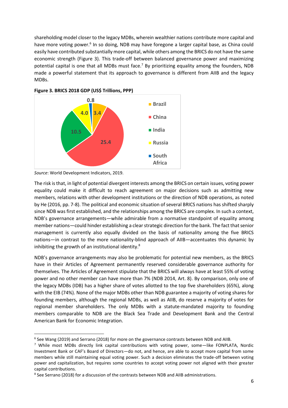shareholding model closer to the legacy MDBs, wherein wealthier nations contribute more capital and have more voting power.<sup>6</sup> In so doing, NDB may have foregone a larger capital base, as China could easily have contributed substantially more capital, while others among the BRICS do not have the same economic strength (Figure 3). This trade-off between balanced governance power and maximizing potential capital is one that all MDBs must face.<sup>7</sup> By prioritizing equality among the founders, NDB made a powerful statement that its approach to governance is different from AIIB and the legacy MDBs.





The risk is that, in light of potential divergent interests among the BRICS on certain issues, voting power equality could make it difficult to reach agreement on major decisions such as admitting new members, relations with other development institutions or the direction of NDB operations, as noted by He (2016, pp. 7-8). The political and economic situation of several BRICS nations has shifted sharply since NDB was first established, and the relationships among the BRICS are complex. In such a context, NDB's governance arrangements—while admirable from a normative standpoint of equality among member nations—could hinder establishing a clear strategic direction for the bank. The fact that senior management is currently also equally divided on the basis of nationality among the five BRICS nations—in contrast to the more nationality-blind approach of AIIB—accentuates this dynamic by inhibiting the growth of an institutional identity.<sup>8</sup>

NDB's governance arrangements may also be problematic for potential new members, as the BRICS have in their Articles of Agreement permanently reserved considerable governance authority for themselves. The Articles of Agreement stipulate that the BRICS will always have at least 55% of voting power and no other member can have more than 7% (NDB 2014, Art. 8). By comparison, only one of the legacy MDBs (IDB) has a higher share of votes allotted to the top five shareholders (65%), along with the EIB (74%). None of the major MDBs other than NDB guarantee a majority of voting shares for founding members, although the regional MDBs, as well as AIIB, do reserve a majority of votes for regional member shareholders. The only MDBs with a statute-mandated majority to founding members comparable to NDB are the Black Sea Trade and Development Bank and the Central American Bank for Economic Integration.

*Source*: World Development Indicators, 2019.

<sup>&</sup>lt;sup>6</sup> See Wang (2019) and Serrano (2018) for more on the governance contrasts between NDB and AIIB.

<sup>7</sup> While most MDBs directly link capital contributions with voting power, some—like FONPLATA, Nordic Investment Bank or CAF's Board of Directors—do not, and hence, are able to accept more capital from some members while still maintaining equal voting power. Such a decision eliminates the trade-off between voting power and capitalization, but requires some countries to accept voting power not aligned with their greater capital contributions.

<sup>&</sup>lt;sup>8</sup> See Serrano (2018) for a discussion of the contrasts between NDB and AIIB administrations.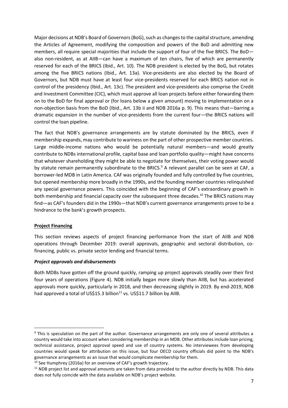Major decisions at NDB's Board of Governors (BoG), such as changes to the capital structure, amending the Articles of Agreement, modifying the composition and powers of the BoD and admitting new members, all require special majorities that include the support of four of the five BRICS. The BoD also non-resident, as at AIIB—can have a maximum of ten chairs, five of which are permanently reserved for each of the BRICS (Ibid., Art. 10). The NDB president is elected by the BoG, but rotates among the five BRICS nations (Ibid., Art. 13a). Vice-presidents are also elected by the Board of Governors, but NDB must have at least four vice-presidents reserved for each BRICS nation not in control of the presidency (Ibid., Art. 13c). The president and vice-presidents also comprise the Credit and Investment Committee (CIC), which must approve all loan projects before either forwarding them on to the BoD for final approval or (for loans below a given amount) moving to implementation on a non-objection basis from the BoD (Ibid., Art. 13b ii and NDB 2016a p. 9). This means that—barring a dramatic expansion in the number of vice-presidents from the current four—the BRICS nations will control the loan pipeline.

The fact that NDB's governance arrangements are by statute dominated by the BRICS, even if membership expands, may contribute to wariness on the part of other prospective member countries. Large middle-income nations who would be potentially natural members—and would greatly contribute to NDBs international profile, capital base and loan portfolio quality—might have concerns that whatever shareholding they might be able to negotiate for themselves, their voting power would by statute remain permanently subordinate to the BRICS.<sup>9</sup> A relevant parallel can be seen at CAF, a borrower-led MDB in Latin America. CAF was originally founded and fully controlled by five countries, but opened membership more broadly in the 1990s, and the founding member countries relinquished any special governance powers. This coincided with the beginning of CAF's extraordinary growth in both membership and financial capacity over the subsequent three decades. <sup>10</sup> The BRICS nations may find—as CAF's founders did in the 1990s—that NDB's current governance arrangements prove to be a hindrance to the bank's growth prospects.

## **Project Financing**

This section reviews aspects of project financing performance from the start of AIIB and NDB operations through December 2019: overall approvals, geographic and sectoral distribution, cofinancing, public vs. private sector lending and financial terms.

## *Project approvals and disbursements*

Both MDBs have gotten off the ground quickly, ramping up project approvals steadily over their first four years of operations (Figure 4). NDB initially began more slowly than AIIB, but has accelerated approvals more quickly, particularly in 2018, and then decreasing slightly in 2019. By end-2019, NDB had approved a total of US\$15.3 billion<sup>11</sup> vs. US\$11.7 billion by AIIB.

<sup>&</sup>lt;sup>9</sup> This is speculation on the part of the author. Governance arrangements are only one of several attributes a country would take into account when considering membership in an MDB. Other attributes include loan pricing, technical assistance, project approval speed and use of country systems. No interviewees from developing countries would speak for attribution on this issue, but four OECD country officials did point to the NDB's governance arrangements as an issue that would complicate membership for them.

 $10$  See Humphrey (2016a) for an overview of CAF's growth trajectory.

<sup>&</sup>lt;sup>11</sup> NDB project list and approval amounts are taken from data provided to the author directly by NDB. This data does not fully coincide with the data available on NDB's project website.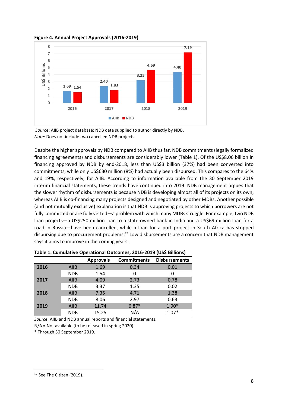

#### **Figure 4. Annual Project Approvals (2016-2019)**

*Source*: AIIB project database; NDB data supplied to author directly by NDB. *Note*: Does not include two cancelled NDB projects.

Despite the higher approvals by NDB compared to AIIB thus far, NDB commitments (legally formalized financing agreements) and disbursements are considerably lower (Table 1). Of the US\$8.06 billion in financing approved by NDB by end-2018, less than US\$3 billion (37%) had been converted into commitments, while only US\$630 million (8%) had actually been disbursed. This compares to the 64% and 19%, respectively, for AIIB. According to information available from the 30 September 2019 interim financial statements, these trends have continued into 2019. NDB management argues that the slower rhythm of disbursements is because NDB is developing almost all of its projects on its own, whereas AIIB is co-financing many projects designed and negotiated by other MDBs. Another possible (and not mutually exclusive) explanation is that NDB is approving projects to which borrowers are not fully committed or are fully vetted—a problem with which many MDBs struggle. For example, two NDB loan projects—a US\$250 million loan to a state-owned bank in India and a US\$69 million loan for a road in Russia—have been cancelled, while a loan for a port project in South Africa has stopped disbursing due to procurement problems.<sup>12</sup> Low disbursements are a concern that NDB management says it aims to improve in the coming years.

|      |             | <b>Approvals</b> | <b>Commitments</b> | <b>Disbursements</b> |
|------|-------------|------------------|--------------------|----------------------|
| 2016 | <b>AIIB</b> | 1.69             | 0.34               | 0.01                 |
|      | <b>NDB</b>  | 1.54             | 0                  | 0                    |
| 2017 | <b>AIIB</b> | 4.09             | 2.73               | 0.78                 |
|      | <b>NDB</b>  | 3.37             | 1.35               | 0.02                 |
| 2018 | <b>AIIB</b> | 7.35             | 4.71               | 1.38                 |
|      | <b>NDB</b>  | 8.06             | 2.97               | 0.63                 |
| 2019 | <b>AIIB</b> | 11.74            | $6.87*$            | $1.90*$              |
|      | <b>NDB</b>  | 15.25            | N/A                | $1.07*$              |

## **Table 1. Cumulative Operational Outcomes, 2016-2019 (US\$ Billions)**

*Source*: AIIB and NDB annual reports and financial statements.

N/A = Not available (to be released in spring 2020).

\* Through 30 September 2019.

<sup>&</sup>lt;sup>12</sup> See The Citizen (2019).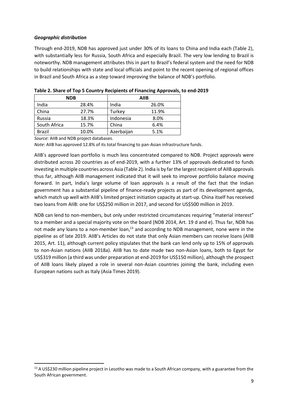## *Geographic distribution*

Through end-2019, NDB has approved just under 30% of its loans to China and India each (Table 2), with substantially less for Russia, South Africa and especially Brazil. The very low lending to Brazil is noteworthy. NDB management attributes this in part to Brazil's federal system and the need for NDB to build relationships with state and local officials and point to the recent opening of regional offices in Brazil and South Africa as a step toward improving the balance of NDB's portfolio.

| <b>NDB</b>    |       |            | <b>AIIB</b> |
|---------------|-------|------------|-------------|
| India         | 28.4% | India      | 26.0%       |
| China         | 27.7% | Turkey     | 11.9%       |
| Russia        | 18.3% | Indonesia  | 8.0%        |
| South Africa  | 15.7% | China      | 6.4%        |
| <b>Brazil</b> | 10.0% | Azerbaijan | 5.1%        |

**Table 2. Share of Top 5 Country Recipients of Financing Approvals, to end-2019**

*Source*: AIIB and NDB project databases.

*Note*: AIIB has approved 12.8% of its total financing to pan-Asian infrastructure funds.

AIIB's approved loan portfolio is much less concentrated compared to NDB. Project approvals were distributed across 20 countries as of end-2019, with a further 13% of approvals dedicated to funds investing in multiple countries across Asia (Table 2). India is by far the largest recipient of AIIB approvals thus far, although AIIB management indicated that it will seek to improve portfolio balance moving forward. In part, India's large volume of loan approvals is a result of the fact that the Indian government has a substantial pipeline of finance-ready projects as part of its development agenda, which match up well with AIIB's limited project initiation capacity at start-up. China itself has received two loans from AIIB: one for US\$250 million in 2017, and second for US\$500 million in 2019.

NDB can lend to non-members, but only under restricted circumstances requiring "material interest" to a member and a special majority vote on the board (NDB 2014, Art. 19 d and e). Thus far, NDB has not made any loans to a non-member loan,<sup>13</sup> and according to NDB management, none were in the pipeline as of late 2019. AIIB's Articles do not state that only Asian members can receive loans (AIIB 2015, Art. 11), although current policy stipulates that the bank can lend only up to 15% of approvals to non-Asian nations (AIIB 2018a). AIIB has to date made two non-Asian loans, both to Egypt for US\$319 million (a third was under preparation at end-2019 for US\$150 million), although the prospect of AIIB loans likely played a role in several non-Asian countries joining the bank, including even European nations such as Italy (Asia Times 2019).

<sup>13</sup> A US\$230 million pipeline project in Lesotho was made to a South African company, with a guarantee from the South African government.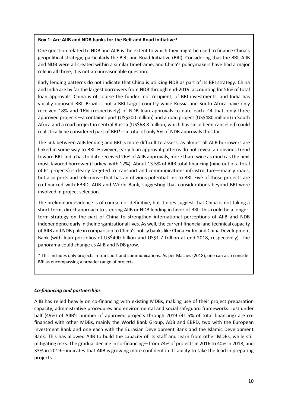#### **Box 1: Are AIIB and NDB banks for the Belt and Road Initiative?**

One question related to NDB and AIIB is the extent to which they might be used to finance China's geopolitical strategy, particularly the Belt and Road Initiative (BRI). Considering that the BRI, AIIB and NDB were all created within a similar timeframe, and China's policymakers have had a major role in all three, it is not an unreasonable question.

Early lending patterns do not indicate that China is utilizing NDB as part of its BRI strategy. China and India are by far the largest borrowers from NDB through end-2019, accounting for 56% of total loan approvals. China is of course the funder, not recipient, of BRI investments, and India has vocally opposed BRI. Brazil is not a BRI target country while Russia and South Africa have only received 18% and 16% (respectively) of NDB loan approvals to date each. Of that, only three approved projects—a container port (US\$200 million) and a road project (US\$480 million) in South Africa and a road project in central Russia (US\$68.8 million, which has since been cancelled) could realistically be considered part of BRI\*—a total of only 5% of NDB approvals thus far.

The link between AIIB lending and BRI is more difficult to assess, as almost all AIIB borrowers are linked in some way to BRI. However, early loan approval patterns do not reveal an obvious trend toward BRI. India has to date received 26% of AIIB approvals, more than twice as much as the next most-favored borrower (Turkey, with 12%). About 13.5% of AIIB total financing (nine out of a total of 61 projects) is clearly targeted to transport and communications infrastructure—mainly roads, but also ports and telecoms—that has an obvious potential link to BRI. Five of those projects are co-financed with EBRD, ADB and World Bank, suggesting that considerations beyond BRI were involved in project selection.

The preliminary evidence is of course not definitive, but it does suggest that China is not taking a short-term, direct approach to steering AIIB or NDB lending in favor of BRI. This could be a longerterm strategy on the part of China to strengthen international perceptions of AIIB and NDB independence early in their organizational lives. As well, the current financial and technical capacity of AIIB and NDB pale in comparison to China's policy banks like China Ex-Im and China Development Bank (with loan portfolios of US\$490 billion and US\$1.7 trillion at end-2018, respectively). The panorama could change as AIIB and NDB grow.

\* This includes only projects in transport and communications. As per Macaes (2018), one can also consider BRI as encompassing a broader range of projects.

## *Co-financing and partnerships*

AIIB has relied heavily on co-financing with existing MDBs, making use of their project preparation capacity, administrative procedures and environmental and social safeguard frameworks. Just under half (49%) of AIIB's number of approved projects through 2019 (41.5% of total financing) are cofinanced with other MDBs, mainly the World Bank Group, ADB and EBRD, two with the European Investment Bank and one each with the Eurasian Development Bank and the Islamic Development Bank. This has allowed AIIB to build the capacity of its staff and learn from other MDBs, while still mitigating risks. The gradual decline in co-financing—from 74% of projects in 2016 to 40% in 2018, and 33% in 2019—indicates that AIIB is growing more confident in its ability to take the lead in preparing projects.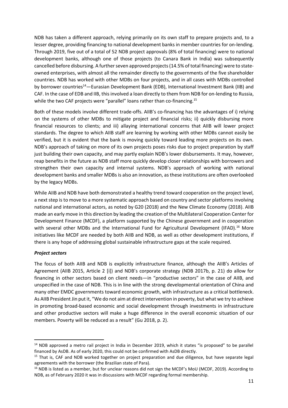NDB has taken a different approach, relying primarily on its own staff to prepare projects and, to a lesser degree, providing financing to national development banks in member countries for on-lending. Through 2019, five out of a total of 52 NDB project approvals (8% of total financing) were to national development banks, although one of those projects (to Canara Bank in India) was subsequently cancelled before disbursing. A further seven approved projects (14.5% of total financing) were to stateowned enterprises, with almost all the remainder directly to the governments of the five shareholder countries. NDB has worked with other MDBs on four projects, and in all cases with MDBs controlled by borrower countries<sup>14</sup>—Eurasian Development Bank (EDB), International Investment Bank (IIB) and CAF. In the case of EDB and IIB, this involved a loan directly to them from NDB for on-lending to Russia, while the two CAF projects were "parallel" loans rather than co-financing.<sup>15</sup>

Both of these models involve different trade-offs. AIIB's co-financing has the advantages of i) relying on the systems of other MDBs to mitigate project and financial risks; ii) quickly disbursing more financial resources to clients; and iii) allaying international concerns that AIIB will lower project standards. The degree to which AIIB staff are learning by working with other MDBs cannot easily be verified, but it is evident that the bank is moving quickly toward leading more projects on its own. NDB's approach of taking on more of its own projects poses risks due to project preparation by staff just building their own capacity, and may partly explain NDB's lower disbursements. It may, however, reap benefits in the future as NDB staff more quickly develop closer relationships with borrowers and strengthen their own capacity and internal systems. NDB's approach of working with national development banks and smaller MDBs is also an innovation, as these institutions are often overlooked by the legacy MDBs.

While AIIB and NDB have both demonstrated a healthy trend toward cooperation on the project level, a next step is to move to a more systematic approach based on country and sector platforms involving national and international actors, as noted by G20 (2018) and the New Climate Economy (2018). AIIB made an early move in this direction by leading the creation of the Multilateral Cooperation Center for Development Finance (MCDF), a platform supported by the Chinese government and in cooperation with several other MDBs and the International Fund for Agricultural Development (IFAD).<sup>16</sup> More initiatives like MCDF are needed by both AIIB and NDB, as well as other development institutions, if there is any hope of addressing global sustainable infrastructure gaps at the scale required.

## *Project sectors*

The focus of both AIIB and NDB is explicitly infrastructure finance, although the AIIB's Articles of Agreement (AIIB 2015, Article 2 [i]) and NDB's corporate strategy (NDB 2017b, p. 21) do allow for financing in other sectors based on client needs—in "productive sectors" in the case of AIIB, and unspecified in the case of NDB. This is in line with the strong developmental orientation of China and many other EMDC governments toward economic growth, with infrastructure as a critical bottleneck. As AIIB President Jin put it, "We do not aim at direct intervention in poverty, but what we try to achieve in promoting broad-based economic and social development through investments in infrastructure and other productive sectors will make a huge difference in the overall economic situation of our members. Poverty will be reduced as a result" (Gu 2018, p. 2).

<sup>&</sup>lt;sup>14</sup> NDB approved a metro rail project in India in December 2019, which it states "is proposed" to be parallel financed by AsDB. As of early 2020, this could not be confirmed with AsDB directly.

<sup>&</sup>lt;sup>15</sup> That is, CAF and NDB worked together on project preparation and due diligence, but have separate legal agreements with the borrower (the Brazilian state of Para).

<sup>&</sup>lt;sup>16</sup> NDB is listed as a member, but for unclear reasons did not sign the MCDF's MoU (MCDF, 2019). According to NDB, as of February 2020 it was in discussions with MCDF regarding formal membership.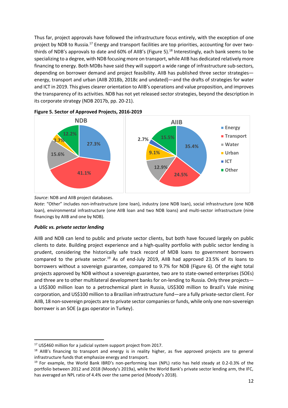Thus far, project approvals have followed the infrastructure focus entirely, with the exception of one project by NDB to Russia.<sup>17</sup> Energy and transport facilities are top priorities, accounting for over twothirds of NDB's approvals to date and 60% of AIIB's (Figure 5). <sup>18</sup> Interestingly, each bank seems to be specializing to a degree, with NDB focusing more on transport, while AIIB has dedicated relatively more financing to energy. Both MDBs have said they will support a wide range of infrastructure sub-sectors, depending on borrower demand and project feasibility. AIIB has published three sector strategies energy, transport and urban (AIIB 2018b, 2018c and undated)—and the drafts of strategies for water and ICT in 2019. This gives clearer orientation to AIIB's operations and value proposition, and improves the transparency of its activities. NDB has not yet released sector strategies, beyond the description in its corporate strategy (NDB 2017b, pp. 20-21).





*Source*: NDB and AIIB project databases.

*Note*: "Other" includes non-infrastructure (one loan), industry (one NDB loan), social infrastructure (one NDB loan), environmental infrastructure (one AIIB loan and two NDB loans) and multi-sector infrastructure (nine financings by AIIB and one by NDB).

#### *Public vs. private sector lending*

AIIB and NDB can lend to public and private sector clients, but both have focused largely on public clients to date. Building project experience and a high-quality portfolio with public sector lending is prudent, considering the historically safe track record of MDB loans to government borrowers compared to the private sector.<sup>19</sup> As of end-July 2019, AIIB had approved 23.5% of its loans to borrowers without a sovereign guarantee, compared to 9.7% for NDB (Figure 6). Of the eight total projects approved by NDB without a sovereign guarantee, two are to state-owned enterprises (SOEs) and three are to other multilateral development banks for on-lending to Russia. Only three projects a US\$300 million loan to a petrochemical plant in Russia, US\$300 million to Brazil's Vale mining corporation, and US\$100 million to a Brazilian infrastructure fund—are a fully private-sector client. For AIIB, 18 non-sovereign projects are to private sector companies or funds, while only one non-sovereign borrower is an SOE (a gas operator in Turkey).

<sup>17</sup> US\$460 million for a judicial system support project from 2017.

<sup>&</sup>lt;sup>18</sup> AIIB's financing to transport and energy is in reality higher, as five approved projects are to general infrastructure funds that emphasize energy and transport.

 $19$  For example, the World Bank IBRD's non-performing loan (NPL) ratio has held steady at 0.2-0.3% of the portfolio between 2012 and 2018 (Moody's 2019a), while the World Bank's private sector lending arm, the IFC, has averaged an NPL ratio of 4.4% over the same period (Moody's 2018).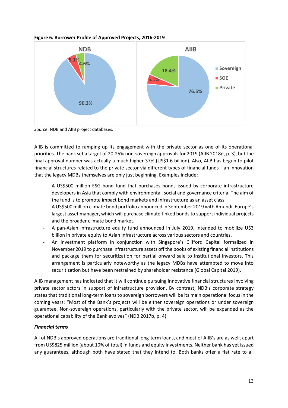

**Figure 6. Borrower Profile of Approved Projects, 2016-2019**

*Source*: NDB and AIIB project databases.

AIIB is committed to ramping up its engagement with the private sector as one of its operational priorities. The bank set a target of 20-25% non-sovereign approvals for 2019 (AIIB 2018d, p. 3), but the final approval number was actually a much higher 37% (US\$1.6 billion). Also, AIIB has begun to pilot financial structures related to the private sector via different types of financial funds—an innovation that the legacy MDBs themselves are only just beginning. Examples include:

- A US\$500 million ESG bond fund that purchases bonds issued by corporate infrastructure developers in Asia that comply with environmental, social and governance criteria. The aim of the fund is to promote impact bond markets and infrastructure as an asset class.
- A US\$500 million climate bond portfolio announced in September 2019 with Amundi, Europe's largest asset manager, which will purchase climate-linked bonds to support individual projects and the broader climate bond market.
- A pan-Asian infrastructure equity fund announced in July 2019, intended to mobilize U\$3 billion in private equity to Asian infrastructure across various sectors and countries.
- An investment platform in conjunction with Singapore's Clifford Capital formalized in November 2019 to purchase infrastructure assets off the books of existing financial institutions and package them for securitization for partial onward sale to institutional investors. This arrangement is particularly noteworthy as the legacy MDBs have attempted to move into securitization but have been restrained by shareholder resistance (Global Capital 2019).

AIIB management has indicated that it will continue pursuing innovative financial structures involving private sector actors in support of infrastructure provision. By contrast, NDB's corporate strategy states that traditional long-term loans to sovereign borrowers will be its main operational focus in the coming years: "Most of the Bank's projects will be either sovereign operations or under sovereign guarantee. Non-sovereign operations, particularly with the private sector, will be expanded as the operational capability of the Bank evolves" (NDB 2017b, p. 4).

# *Financial terms*

All of NDB's approved operations are traditional long-term loans, and most of AIIB's are as well, apart from US\$825 million (about 10% of total) in funds and equity investments. Neither bank has yet issued any guarantees, although both have stated that they intend to. Both banks offer a flat rate to all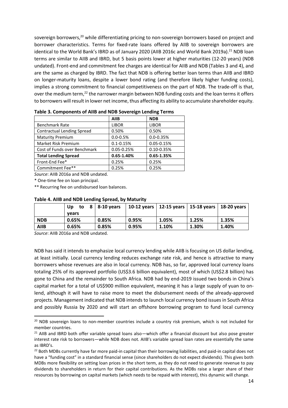sovereign borrowers,<sup>20</sup> while differentiating pricing to non-sovereign borrowers based on project and borrower characteristics. Terms for fixed-rate loans offered by AIIB to sovereign borrowers are identical to the World Bank's IBRD as of January 2020 (AIIB 2016c and World Bank 2019a).<sup>21</sup> NDB loan terms are similar to AIIB and IBRD, but 5 basis points lower at higher maturities (12-20 years) (NDB undated). Front-end and commitment fee charges are identical for AIIB and NDB (Tables 3 and 4), and are the same as charged by IBRD. The fact that NDB is offering better loan terms than AIIB and IBRD on longer-maturity loans, despite a lower bond rating (and therefore likely higher funding costs), implies a strong commitment to financial competitiveness on the part of NDB. The trade-off is that, over the medium term,<sup>22</sup> the narrower margin between NDB funding costs and the loan terms it offers to borrowers will result in lower net income, thus affecting its ability to accumulate shareholder equity.

|                                   | <b>AIIB</b>    | <b>NDB</b>     |
|-----------------------------------|----------------|----------------|
| <b>Benchmark Rate</b>             | <b>LIBOR</b>   | <b>LIBOR</b>   |
| <b>Contractual Lending Spread</b> | 0.50%          | 0.50%          |
| <b>Maturity Premium</b>           | $0.0 - 0.5%$   | $0.0 - 0.35%$  |
| Market Risk Premium               | $0.1 - 0.15%$  | $0.05 - 0.15%$ |
| Cost of Funds over Benchmark      | $0.05 - 0.25%$ | $0.10 - 0.35%$ |
| <b>Total Lending Spread</b>       | $0.65 - 1.40%$ | $0.65 - 1.35%$ |
| Front-End Fee*                    | 0.25%          | 0.25%          |
| Commitment Fee**                  | 0.25%          | 0.25%          |

**Table 3. Components of AIIB and NDB Sovereign Lending Terms**

*Source*: AIIB 2016a and NDB undated.

\* One-time fee on loan principal.

\*\* Recurring fee on undisbursed loan balances.

| <b>1996 - And and NDD ECTMING Spical, by Maturity</b> |       |                        |       |                                                       |       |       |
|-------------------------------------------------------|-------|------------------------|-------|-------------------------------------------------------|-------|-------|
|                                                       | Up    | to $8 \mid 8-10$ years |       | 10-12 years   12-15 years   15-18 years   18-20 years |       |       |
|                                                       | vears |                        |       |                                                       |       |       |
| <b>NDB</b>                                            | 0.65% | 0.85%                  | 0.95% | 1.05%                                                 | 1.25% | 1.35% |
| <b>AIIB</b>                                           | 0.65% | 0.85%                  | 0.95% | 1.10%                                                 | 1.30% | 1.40% |

# **Table 4. AIIB and NDB Lending Spread, by Maturity**

*Source*: AIIB 2016a and NDB undated.

NDB has said it intends to emphasize local currency lending while AIIB is focusing on US dollar lending, at least initially. Local currency lending reduces exchange rate risk, and hence is attractive to many borrowers whose revenues are also in local currency. NDB has, so far, approved local currency loans totaling 25% of its approved portfolio (US\$3.6 billion equivalent), most of which (US\$2.8 billion) has gone to China and the remainder to South Africa. NDB had by end-2019 issued two bonds in China's capital market for a total of US\$900 million equivalent, meaning it has a large supply of yuan to onlend, although it will have to raise more to meet the disbursement needs of the already-approved projects. Management indicated that NDB intends to launch local currency bond issues in South Africa and possibly Russia by 2020 and will start an offshore borrowing program to fund local currency

<sup>&</sup>lt;sup>20</sup> NDB sovereign loans to non-member countries include a country risk premium, which is not included for member countries.

<sup>&</sup>lt;sup>21</sup> AIIB and IBRD both offer variable spread loans also—which offer a financial discount but also pose greater interest rate risk to borrowers—while NDB does not. AIIB's variable spread loan rates are essentially the same as IBRD's.

 $22$  Both MDBs currently have far more paid-in capital than their borrowing liabilities, and paid-in capital does not have a "funding cost" in a standard financial sense (since shareholders do not expect dividends). This gives both MDBs more flexibility on setting loan prices in the short term, as they do not need to generate revenue to pay dividends to shareholders in return for their capital contributions. As the MDBs raise a larger share of their resources by borrowing on capital markets (which needs to be repaid with interest), this dynamic will change.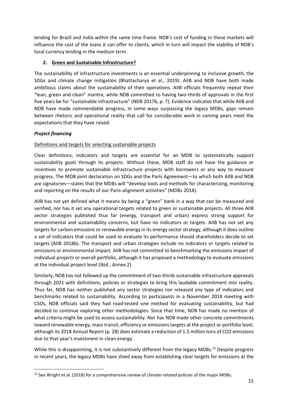lending for Brazil and India within the same time frame. NDB's cost of funding in these markets will influence the cost of the loans it can offer to clients, which in turn will impact the viability of NDB's local currency lending in the medium term.

# **2. Green and Sustainable Infrastructure?**

The sustainability of infrastructure investments is an essential underpinning to inclusive growth, the SDGs and climate change mitigation (Bhattacharya et al., 2019). AIIB and NDB have both made ambitious claims about the sustainability of their operations. AIIB officials frequently repeat their "lean, green and clean" mantra, while NDB committed to having two-thirds of approvals in the first five years be for "sustainable infrastructure" (NDB 2017b, p. 7). Evidence indicates that while AIIB and NDB have made commendable progress, in some ways surpassing the legacy MDBs, gaps remain between rhetoric and operational reality that call for considerable work in coming years meet the expectations that they have raised.

## *Project financing*

# Definitions and targets for selecting sustainable projects

Clear definitions, indicators and targets are essential for an MDB to systematically support sustainability goals through its projects. Without these, MDB staff do not have the guidance or incentives to promote sustainable infrastructure projects with borrowers or any way to measure progress. The MDB joint declaration on SDGs and the Paris Agreement—to which both AIIB and NDB are signatories—states that the MDBs will "develop tools and methods for characterizing, monitoring and reporting on the results of our Paris-alignment activities" (MDBs 2018).

AIIB has not yet defined what it means by being a "green" bank in a way that can be measured and verified, nor has it set any operational targets related to green or sustainable projects. All three AIIB sector strategies published thus far (energy, transport and urban) express strong support for environmental and sustainability concerns, but have no indicators or targets. AIIB has not set any targets for carbon emissions or renewable energy in its energy sector strategy, although it does outline a set of indicators that could be used to evaluate its performance should shareholders decide to set targets (AIIB 2018b). The transport and urban strategies include no indicators or targets related to emissions or environmental impact. AIIB has not committed to benchmarking the emissions impact of individual projects or overall portfolio, although it has proposed a methodology to evaluate emissions at the individual project level (Ibid., Annex 2).

Similarly, NDB has not followed up the commitment of two-thirds sustainable infrastructure approvals through 2021 with definitions, policies or strategies to bring this laudable commitment into reality. Thus far, NDB has neither published any sector strategies nor released any type of indicators and benchmarks related to sustainability. According to participants in a November 2018 meeting with CSOs, NDB officials said they had road-tested one method for evaluating sustainability, but had decided to continue exploring other methodologies. Since that time, NDB has made no mention of what criteria might be used to assess sustainability. Nor has NDB made other concrete commitments toward renewable energy, mass transit, efficiency or emissions targets at the project or portfolio level, although its 2018 Annual Report (p. 28) does estimate a reduction of 1.5 million tons of CO2 emissions due to that year's investment in clean energy.

While this is disappointing, it is not substantively different from the legacy MDBs.<sup>23</sup> Despite progress in recent years, the legacy MDBs have shied away from establishing clear targets for emissions at the

<sup>&</sup>lt;sup>23</sup> See Wright et al. (2018) for a comprehensive review of climate-related policies of the major MDBs.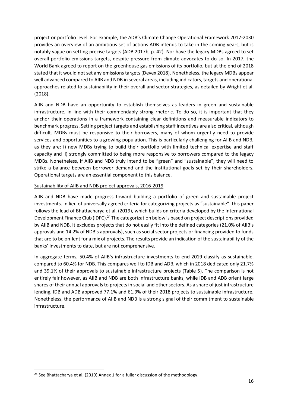project or portfolio level. For example, the ADB's Climate Change Operational Framework 2017-2030 provides an overview of an ambitious set of actions ADB intends to take in the coming years, but is notably vague on setting precise targets (ADB 2017b, p. 42). Nor have the legacy MDBs agreed to set overall portfolio emissions targets, despite pressure from climate advocates to do so. In 2017, the World Bank agreed to report on the greenhouse gas emissions of its portfolio, but at the end of 2018 stated that it would not set any emissions targets (Devex 2018). Nonetheless, the legacy MDBs appear well advanced compared to AIIB and NDB in several areas, including indicators, targets and operational approaches related to sustainability in their overall and sector strategies, as detailed by Wright et al. (2018).

AIIB and NDB have an opportunity to establish themselves as leaders in green and sustainable infrastructure, in line with their commendably strong rhetoric. To do so, it is important that they anchor their operations in a framework containing clear definitions and measurable indicators to benchmark progress. Setting project targets and establishing staff incentives are also critical, although difficult. MDBs must be responsive to their borrowers, many of whom urgently need to provide services and opportunities to a growing population. This is particularly challenging for AIIB and NDB, as they are: i) new MDBs trying to build their portfolio with limited technical expertise and staff capacity and ii) strongly committed to being more responsive to borrowers compared to the legacy MDBs. Nonetheless, if AIIB and NDB truly intend to be "green" and "sustainable", they will need to strike a balance between borrower demand and the institutional goals set by their shareholders. Operational targets are an essential component to this balance.

## Sustainability of AIIB and NDB project approvals, 2016-2019

AIIB and NDB have made progress toward building a portfolio of green and sustainable project investments. In lieu of universally agreed criteria for categorizing projects as "sustainable", this paper follows the lead of Bhattacharya et al. (2019), which builds on criteria developed by the International Development Finance Club (IDFC).<sup>24</sup> The categorization below is based on project descriptions provided by AIIB and NDB. It excludes projects that do not easily fit into the defined categories (21.0% of AIIB's approvals and 14.2% of NDB's approvals), such as social sector projects or financing provided to funds that are to be on-lent for a mix of projects. The results provide an indication of the sustainability of the banks' investments to date, but are not comprehensive.

In aggregate terms, 50.4% of AIIB's infrastructure investments to end-2019 classify as sustainable, compared to 60.4% for NDB. This compares well to IDB and ADB, which in 2018 dedicated only 21.7% and 39.1% of their approvals to sustainable infrastructure projects (Table 5). The comparison is not entirely fair however, as AIIB and NDB are both infrastructure banks, while IDB and ADB orient large shares of their annual approvals to projects in social and other sectors. As a share of just infrastructure lending, IDB and ADB approved 77.1% and 61.9% of their 2018 projects to sustainable infrastructure. Nonetheless, the performance of AIIB and NDB is a strong signal of their commitment to sustainable infrastructure.

<sup>&</sup>lt;sup>24</sup> See Bhattacharya et al. (2019) Annex 1 for a fuller discussion of the methodology.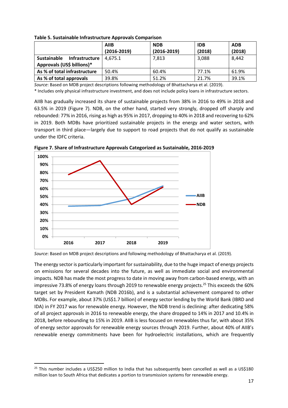|                                                                    | <b>AIIB</b><br>$(2016 - 2019)$ | <b>NDB</b><br>$(2016 - 2019)$ | <b>IDB</b><br>(2018) | <b>ADB</b><br>(2018) |
|--------------------------------------------------------------------|--------------------------------|-------------------------------|----------------------|----------------------|
| Infrastructure<br><b>Sustainable</b><br>Approvals (US\$ billions)* | 4.675.1                        | 7,813                         | 3,088                | 8,442                |
| As % of total infrastructure                                       | 50.4%                          | 60.4%                         | 77.1%                | 61.9%                |
| As % of total approvals                                            | 39.8%                          | 51.2%                         | 21.7%                | 39.1%                |

**Table 5. Sustainable Infrastructure Approvals Comparison**

*Source*: Based on MDB project descriptions following methodology of Bhattacharya et al. (2019).

\* Includes only physical infrastructure investment, and does not include policy loans in infrastructure sectors.

AIIB has gradually increased its share of sustainable projects from 38% in 2016 to 49% in 2018 and 63.5% in 2019 (Figure 7). NDB, on the other hand, started very strongly, dropped off sharply and rebounded: 77% in 2016, rising as high as 95% in 2017, dropping to 40% in 2018 and recovering to 62% in 2019. Both MDBs have prioritized sustainable projects in the energy and water sectors, with transport in third place—largely due to support to road projects that do not qualify as sustainable under the IDFC criteria.



**Figure 7. Share of Infrastructure Approvals Categorized as Sustainable, 2016-2019**

*Source*: Based on MDB project descriptions and following methodology of Bhattacharya et al. (2019).

The energy sector is particularly important for sustainability, due to the huge impact of energy projects on emissions for several decades into the future, as well as immediate social and environmental impacts. NDB has made the most progress to date in moving away from carbon-based energy, with an impressive 73.8% of energy loans through 2019 to renewable energy projects.<sup>25</sup> This exceeds the 60% target set by President Kamath (NDB 2016b), and is a substantial achievement compared to other MDBs. For example, about 37% (US\$1.7 billion) of energy sector lending by the World Bank (IBRD and IDA) in FY 2017 was for renewable energy. However, the NDB trend is declining: after dedicating 58% of all project approvals in 2016 to renewable energy, the share dropped to 14% in 2017 and 10.4% in 2018, before rebounding to 15% in 2019. AIIB is less focused on renewables thus far, with about 35% of energy sector approvals for renewable energy sources through 2019. Further, about 40% of AIIB's renewable energy commitments have been for hydroelectric installations, which are frequently

<sup>&</sup>lt;sup>25</sup> This number includes a US\$250 million to India that has subsequently been cancelled as well as a US\$180 million loan to South Africa that dedicates a portion to transmission systems for renewable energy.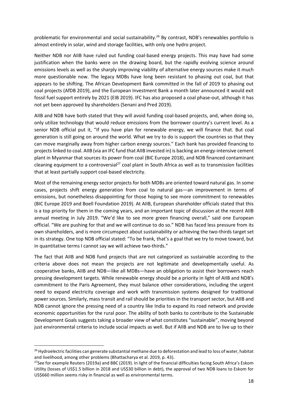problematic for environmental and social sustainability.<sup>26</sup> By contrast, NDB's renewables portfolio is almost entirely in solar, wind and storage facilities, with only one hydro project.

Neither NDB nor AIIB have ruled out funding coal-based energy projects. This may have had some justification when the banks were on the drawing board, but the rapidly evolving science around emissions levels as well as the sharply improving viability of alternative energy sources make it much more questionable now. The legacy MDBs have long been resistant to phasing out coal, but that appears to be shifting. The African Development Bank committed in the fall of 2019 to phasing out coal projects (AfDB 2019), and the European Investment Bank a month later announced it would exit fossil fuel support entirely by 2021 (EIB 2019). IFC has also proposed a coal phase-out, although it has not yet been approved by shareholders (Senani and Pred 2019).

AIIB and NDB have both stated that they will avoid funding coal-based projects, and, when doing so, only utilize technology that would reduce emissions from the borrower country's current level. As a senior NDB official put it, "If you have plan for renewable energy, we will finance that. But coal generation is still going on around the world. What we try to do is support the countries so that they can move marginally away from higher carbon energy sources." Each bank has provided financing to projects linked to coal. AIIB (via an IFC fund that AIIB invested in) is backing an energy-intensive cement plant in Myanmar that sources its power from coal (BIC Europe 2018), and NDB financed contaminant cleaning equipment to a controversial<sup>27</sup> coal plant in South Africa as well as to transmission facilities that at least partially support coal-based electricity.

Most of the remaining energy sector projects for both MDBs are oriented toward natural gas. In some cases, projects shift energy generation from coal to natural gas—an improvement in terms of emissions, but nonetheless disappointing for those hoping to see more commitment to renewables (BIC Europe 2019 and Boell Foundation 2019). At AIIB, European shareholder officials stated that this is a top priority for them in the coming years, and an important topic of discussion at the recent AIIB annual meeting in July 2019. "We'd like to see more green financing overall," said one European official. "We are pushing for that and we will continue to do so." NDB has faced less pressure from its own shareholders, and is more circumspect about sustainability or achieving the two-thirds target set in its strategy. One top NDB official stated: "To be frank, that's a goal that we try to move toward, but in quantitative terms I cannot say we will achieve two-thirds."

The fact that AIIB and NDB fund projects that are not categorized as sustainable according to the criteria above does not mean the projects are not legitimate and developmentally useful. As cooperative banks, AIIB and NDB—like all MDBs—have an obligation to assist their borrowers reach pressing development targets. While renewable energy should be a priority in light of AIIB and NDB's commitment to the Paris Agreement, they must balance other considerations, including the urgent need to expand electricity coverage and work with transmission systems designed for traditional power sources. Similarly, mass transit and rail should be priorities in the transport sector, but AIIB and NDB cannot ignore the pressing need of a country like India to expand its road network and provide economic opportunities for the rural poor. The ability of both banks to contribute to the Sustainable Development Goals suggests taking a broader view of what constitutes "sustainable", moving beyond just environmental criteria to include social impacts as well. But if AIIB and NDB are to live up to their

<sup>&</sup>lt;sup>26</sup> Hydroelectric facilities can generate substantial methane due to deforestation and lead to loss of water, habitat and livelihood, among other problems (Bhattacharya et al. 2019, p. 43).

<sup>&</sup>lt;sup>27</sup>See for example Reuters (2019a) and BBC (2019). In light of the financial difficulties facing South Africa's Eskom Utility (losses of US\$1.5 billion in 2018 and US\$30 billion in debt), the approval of two NDB loans to Eskom for US\$660 million seems risky in financial as well as environmental terms.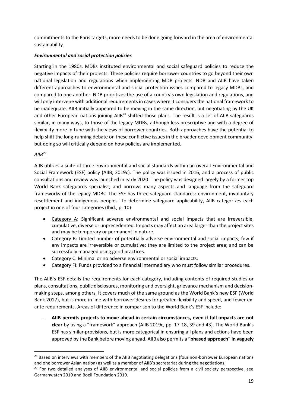commitments to the Paris targets, more needs to be done going forward in the area of environmental sustainability.

## *Environmental and social protection policies*

Starting in the 1980s, MDBs instituted environmental and social safeguard policies to reduce the negative impacts of their projects. These policies require borrower countries to go beyond their own national legislation and regulations when implementing MDB projects. NDB and AIIB have taken different approaches to environmental and social protection issues compared to legacy MDBs, and compared to one another. NDB prioritizes the use of a country's own legislation and regulations, and will only intervene with additional requirements in cases where it considers the national framework to be inadequate. AIIB initially appeared to be moving in the same direction, but negotiating by the UK and other European nations joining AIIB<sup>28</sup> shifted those plans. The result is a set of AIIB safeguards similar, in many ways, to those of the legacy MDBs, although less prescriptive and with a degree of flexibility more in tune with the views of borrower countries. Both approaches have the potential to help shift the long-running debate on these conflictive issues in the broader development community, but doing so will critically depend on how policies are implemented.

## *AIIB<sup>29</sup>*

AIIB utilizes a suite of three environmental and social standards within an overall Environmental and Social Framework (ESF) policy (AIIB, 2019c). The policy was issued in 2016, and a process of public consultations and review was launched in early 2020. The policy was designed largely by a former top World Bank safeguards specialist, and borrows many aspects and language from the safeguard frameworks of the legacy MDBs. The ESF has three safeguard standards: environment, involuntary resettlement and indigenous peoples. To determine safeguard applicability, AIIB categorizes each project in one of four categories (Ibid., p. 10):

- Category A: Significant adverse environmental and social impacts that are irreversible, cumulative, diverse or unprecedented. Impacts may affect an area larger than the project sites and may be temporary or permanent in nature.
- Category B: Limited number of potentially adverse environmental and social impacts; few if any impacts are irreversible or cumulative; they are limited to the project area; and can be successfully managed using good practices.
- Category C: Minimal or no adverse environmental or social impacts.
- Category FI: Funds provided to a financial intermediary who must follow similar procedures.

The AIIB's ESF details the requirements for each category, including contents of required studies or plans, consultations, public disclosures, monitoring and oversight, grievance mechanism and decisionmaking steps, among others. It covers much of the same ground as the World Bank's new ESF (World Bank 2017), but is more in line with borrower desires for greater flexibility and speed, and fewer exante requirements. Areas of difference in comparison to the World Bank's ESF include:

- **AIIB permits projects to move ahead in certain circumstances, even if full impacts are not clear** by using a "framework" approach (AIIB 2019c, pp. 17-18, 39 and 43). The World Bank's ESF has similar provisions, but is more categorical in ensuring all plans and actions have been approved by the Bank before moving ahead. AIIB also permits a **"phased approach" in vaguely** 

<sup>&</sup>lt;sup>28</sup> Based on interviews with members of the AIIB negotiating delegations (four non-borrower European nations and one borrower Asian nation) as well as a member of AIIB's secretariat during the negotiations.

 $29$  For two detailed analyses of AIIB environmental and social policies from a civil society perspective, see Germanwatch 2019 and Boell Foundation 2019.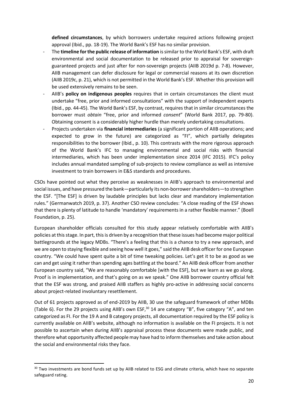**defined circumstances**, by which borrowers undertake required actions following project approval (Ibid., pp. 18-19). The World Bank's ESF has no similar provision.

- The **timeline for the public release of information** is similar to the World Bank's ESF, with draft environmental and social documentation to be released prior to appraisal for sovereignguaranteed projects and just after for non-sovereign projects (AIIB 2019d p. 7-8). However, AIIB management can defer disclosure for legal or commercial reasons at its own discretion (AIIB 2019c, p. 21), which is not permitted in the World Bank's ESF. Whether this provision will be used extensively remains to be seen.
- AIIB's **policy on indigenous peoples** requires that in certain circumstances the client must undertake "free, prior and informed consultations" with the support of independent experts (Ibid., pp. 44-45). The World Bank's ESF, by contrast, requires that in similar circumstances the borrower must *obtain* "free, prior and informed *consent*" (World Bank 2017, pp. 79-80). Obtaining consent is a considerably higher hurdle than merely undertaking consultations.
- Projects undertaken via **financial intermediaries** (a significant portion of AIIB operations; and expected to grow in the future) are categorized as "FI", which partially delegates responsibilities to the borrower (Ibid., p. 10). This contrasts with the more rigorous approach of the World Bank's IFC to managing environmental and social risks with financial intermediaries, which has been under implementation since 2014 (IFC 2015). IFC's policy includes annual mandated sampling of sub-projects to review compliance as well as intensive investment to train borrowers in E&S standards and procedures.

CSOs have pointed out what they perceive as weaknesses in AIIB's approach to environmental and social issues, and have pressured the bank—particularly its non-borrowershareholders—to strengthen the ESF. "[The ESF] is driven by laudable principles but lacks clear and mandatory implementation rules." (Germanwatch 2019, p. 37). Another CSO review concludes: "A close reading of the ESF shows that there is plenty of latitude to handle 'mandatory' requirements in a rather flexible manner." (Boell Foundation, p. 25).

European shareholder officials consulted for this study appear relatively comfortable with AIIB's policies at this stage. In part, this is driven by a recognition that these issues had become major political battlegrounds at the legacy MDBs. "There's a feeling that this is a chance to try a new approach, and we are open to staying flexible and seeing how well it goes," said the AIIB desk officer for one European country. "We could have spent quite a bit of time tweaking policies. Let's get it to be as good as we can and get using it rather than spending ages battling at the board." An AIIB desk officer from another European country said, "We are reasonably comfortable [with the ESF], but we learn as we go along. Proof is in implementation, and that's going on as we speak." One AIIB borrower country official felt that the ESF was strong, and praised AIIB staffers as highly pro-active in addressing social concerns about project-related involuntary resettlement.

Out of 61 projects approved as of end-2019 by AIIB, 30 use the safeguard framework of other MDBs (Table 6). For the 29 projects using AIIB's own ESF, $30$  14 are category "B", five category "A", and ten categorized as FI. For the 19 A and B category projects, all documentation required by the ESF policy is currently available on AIIB's website, although no information is available on the FI projects. It is not possible to ascertain when during AIIB's appraisal process these documents were made public, and therefore what opportunity affected people may have had to inform themselves and take action about the social and environmental risks they face.

<sup>&</sup>lt;sup>30</sup> Two investments are bond funds set up by AIIB related to ESG and climate criteria, which have no separate safeguard rating.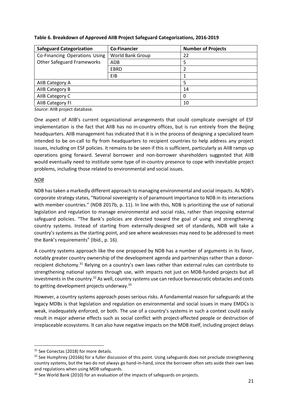| <b>Safeguard Categorization</b>   | <b>Co-Financier</b>     | <b>Number of Projects</b> |
|-----------------------------------|-------------------------|---------------------------|
| Co-Financing Operations Using     | <b>World Bank Group</b> | 22                        |
| <b>Other Safeguard Frameworks</b> | ADB                     | 5                         |
|                                   | <b>EBRD</b>             | 2                         |
|                                   | EIB                     |                           |
| AIIB Category A                   |                         | 5                         |
| AIIB Category B                   |                         | 14                        |
| AIIB Category C                   |                         | 0                         |
| AIIB Category FI                  |                         | 10                        |

## **Table 6. Breakdown of Approved AIIB Project Safeguard Categorizations, 2016-2019**

*Source*: AIIB project database.

One aspect of AIIB's current organizational arrangements that could complicate oversight of ESF implementation is the fact that AIIB has no in-country offices, but is run entirely from the Beijing headquarters. AIIB management has indicated that it is in the process of designing a specialized team intended to be on-call to fly from headquarters to recipient countries to help address any project issues, including on ESF policies. It remains to be seen if this is sufficient, particularly as AIIB ramps up operations going forward. Several borrower and non-borrower shareholders suggested that AIIB would eventually need to institute some type of in-country presence to cope with inevitable project problems, including those related to environmental and social issues.

## *NDB*

NDB has taken a markedly different approach to managing environmental and social impacts. As NDB's corporate strategy states, "National sovereignty is of paramount importance to NDB in its interactions with member countries." (NDB 2017b, p. 11). In line with this, NDB is prioritizing the use of national legislation and regulation to manage environmental and social risks, rather than imposing external safeguard policies. "The Bank's policies are directed toward the goal of using and strengthening country systems. Instead of starting from externally-designed set of standards, NDB will take a country's systems as the starting point, and see where weaknesses may need to be addressed to meet the Bank's requirements" (Ibid., p. 16).

A country systems approach like the one proposed by NDB has a number of arguments in its favor, notably greater country ownership of the development agenda and partnerships rather than a donorrecipient dichotomy.<sup>31</sup> Relying on a country's own laws rather than external rules can contribute to strengthening national systems through use, with impacts not just on MDB-funded projects but all investments in the country.<sup>32</sup> As well, country systems use can reduce bureaucratic obstacles and costs to getting development projects underway.<sup>33</sup>

However, a country systems approach poses serious risks. A fundamental reason for safeguards at the legacy MDBs is that legislation and regulation on environmental and social issues in many EMDCs is weak, inadequately enforced, or both. The use of a country's systems in such a context could easily result in major adverse effects such as social conflict with project-affected people or destruction of irreplaceable ecosystems. It can also have negative impacts on the MDB itself, including project delays

<sup>&</sup>lt;sup>31</sup> See Conectas (2018) for more details.

<sup>&</sup>lt;sup>32</sup> See Humphrey (2016b) for a fuller discussion of this point. Using safeguards does not preclude strengthening country systems, but the two do not always go hand-in-hand, since the borrower often sets aside their own laws and regulations when using MDB safeguards.

<sup>&</sup>lt;sup>33</sup> See World Bank (2010) for an evaluation of the impacts of safeguards on projects.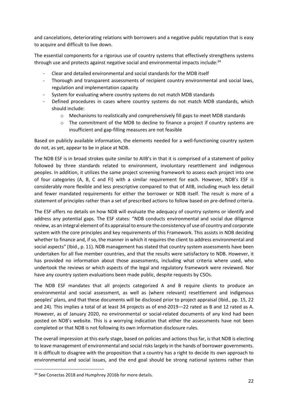and cancelations, deteriorating relations with borrowers and a negative public reputation that is easy to acquire and difficult to live down.

The essential components for a rigorous use of country systems that effectively strengthens systems through use and protects against negative social and environmental impacts include:<sup>34</sup>

- Clear and detailed environmental and social standards for the MDB itself
- Thorough and transparent assessments of recipient country environmental and social laws, regulation and implementation capacity
- System for evaluating where country systems do not match MDB standards
- Defined procedures in cases where country systems do not match MDB standards, which should include:
	- $\circ$  Mechanisms to realistically and comprehensively fill gaps to meet MDB standards
	- $\circ$  The commitment of the MDB to decline to finance a project if country systems are insufficient and gap-filling measures are not feasible

Based on publicly available information, the elements needed for a well-functioning country system do not, as yet, appear to be in place at NDB.

The NDB ESF is in broad strokes quite similar to AIIB's in that it is comprised of a statement of policy followed by three standards related to environment, involuntary resettlement and indigenous peoples. In addition, it utilizes the same project screening framework to assess each project into one of four categories (A, B, C and FI) with a similar requirement for each. However, NDB's ESF is considerably more flexible and less prescriptive compared to that of AIIB, including much less detail and fewer mandated requirements for either the borrower or NDB itself. The result is more of a statement of principles rather than a set of prescribed actions to follow based on pre-defined criteria.

The ESF offers no details on how NDB will evaluate the adequacy of country systems or identify and address any potential gaps. The ESF states: "NDB conducts environmental and social due diligence review, as an integral element of its appraisal to ensure the consistency of use of country and corporate system with the core principles and key requirements of this Framework. This assists in NDB deciding whether to finance and, if so, the manner in which it requires the client to address environmental and social aspects" (Ibid., p. 11). NDB management has stated that country system assessments have been undertaken for all five member countries, and that the results were satisfactory to NDB. However, it has provided no information about those assessments, including what criteria where used, who undertook the reviews or which aspects of the legal and regulatory framework were reviewed. Nor have any country system evaluations been made public, despite requests by CSOs.

The NDB ESF mandates that all projects categorized A and B require clients to produce an environmental and social assessment, as well as (where relevant) resettlement and indigenous peoples' plans, and that these documents will be disclosed prior to project appraisal (Ibid., pp. 15, 22 and 24). This implies a total of at least 34 projects as of end-2019—22 rated as B and 12 rated as A. However, as of January 2020, no environmental or social-related documents of any kind had been posted on NDB's website. This is a worrying indication that either the assessments have not been completed or that NDB is not following its own information disclosure rules.

The overall impression at this early stage, based on policies and actions thus far, is that NDB is electing to leave management of environmental and social risks largely in the hands of borrower governments. It is difficult to disagree with the proposition that a country has a right to decide its own approach to environmental and social issues, and the end goal should be strong national systems rather than

<sup>34</sup> See Conectas 2018 and Humphrey 2016b for more details.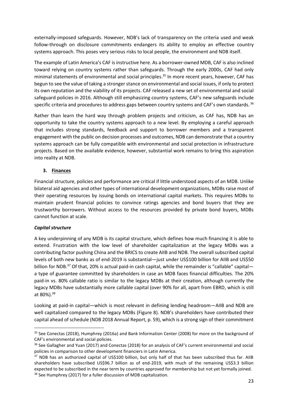externally-imposed safeguards. However, NDB's lack of transparency on the criteria used and weak follow-through on disclosure commitments endangers its ability to employ an effective country systems approach. This poses very serious risks to local people, the environment and NDB itself.

The example of Latin America's CAF is instructive here. As a borrower-owned MDB, CAF is also inclined toward relying on country systems rather than safeguards. Through the early 2000s, CAF had only minimal statements of environmental and social principles. <sup>35</sup> In more recent years, however, CAF has begun to see the value of taking a stronger stance on environmental and social issues, if only to protect its own reputation and the viability of its projects. CAF released a new set of environmental and social safeguard policies in 2016. Although still emphasizing country systems, CAF's new safeguards include specific criteria and procedures to address gaps between country systems and CAF's own standards. 36

Rather than learn the hard way through problem projects and criticism, as CAF has, NDB has an opportunity to take the country systems approach to a new level. By employing a careful approach that includes strong standards, feedback and support to borrower members and a transparent engagement with the public on decision processes and outcomes, NDB can demonstrate that a country systems approach can be fully compatible with environmental and social protection in infrastructure projects. Based on the available evidence, however, substantial work remains to bring this aspiration into reality at NDB.

# **3. Finances**

Financial structure, policies and performance are critical if little understood aspects of an MDB. Unlike bilateral aid agencies and other types of international development organizations, MDBs raise most of their operating resources by issuing bonds on international capital markets. This requires MDBs to maintain prudent financial policies to convince ratings agencies and bond buyers that they are trustworthy borrowers. Without access to the resources provided by private bond buyers, MDBs cannot function at scale.

## *Capital structure*

A key underpinning of any MDB is its capital structure, which defines how much financing it is able to extend. Frustration with the low level of shareholder capitalization at the legacy MDBs was a contributing factor pushing China and the BRICS to create AIIB and NDB. The overall subscribed capital levels of both new banks as of end-2019 is substantial—just under US\$100 billion for AIIB and US\$50 billion for NDB.<sup>37</sup> Of that, 20% is actual paid-in cash capital, while the remainder is "callable" capital a type of guarantee committed by shareholders in case an MDB faces financial difficulties. The 20% paid-in vs. 80% callable ratio is similar to the legacy MDBs at their creation, although currently the legacy MDBs have substantially more callable capital (over 90% for all, apart from EBRD, which is still at 80%).<sup>38</sup>

Looking at paid-in capital—which is most relevant in defining lending headroom—AIIB and NDB are well capitalized compared to the legacy MDBs (Figure 8). NDB's shareholders have contributed their capital ahead of schedule (NDB 2018 Annual Report, p. 59), which is a strong sign of their commitment

23

<sup>&</sup>lt;sup>35</sup> See Conectas (2018), Humphrey (2016a) and Bank Information Center (2008) for more on the background of CAF's environmental and social policies.

<sup>&</sup>lt;sup>36</sup> See Gallagher and Yuan (2017) and Conectas (2018) for an analysis of CAF's current environmental and social policies in comparison to other development financiers in Latin America.

<sup>37</sup> NDB has an authorized capital of US\$100 billion, but only half of that has been subscribed thus far. AIIB shareholders have subscribed US\$96.7 billion as of end-2019, with much of the remaining US\$3.3 billion expected to be subscribed in the near term by countries approved for membership but not yet formally joined. <sup>38</sup> See Humphrey (2017) for a fuller discussion of MDB capitalization.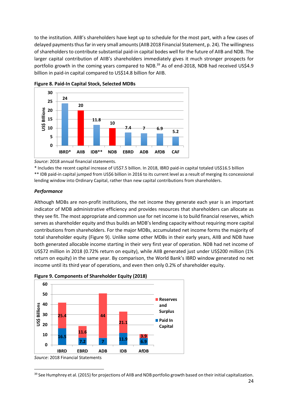to the institution. AIIB's shareholders have kept up to schedule for the most part, with a few cases of delayed payments thus far in very small amounts (AIIB 2018 Financial Statement, p. 24). The willingness of shareholders to contribute substantial paid-in capital bodes well for the future of AIIB and NDB. The larger capital contribution of AIIB's shareholders immediately gives it much stronger prospects for portfolio growth in the coming years compared to NDB.<sup>39</sup> As of end-2018, NDB had received US\$4.9 billion in paid-in capital compared to US\$14.8 billion for AIIB.





*Source*: 2018 annual financial statements.

\* Includes the recent capital increase of US\$7.5 billion. In 2018, IBRD paid-in capital totaled US\$16.5 billion \*\* IDB paid-in capital jumped from US\$6 billion in 2016 to its current level as a result of merging its concessional lending window into Ordinary Capital, rather than new capital contributions from shareholders.

#### *Performance*

Although MDBs are non-profit institutions, the net income they generate each year is an important indicator of MDB administrative efficiency and provides resources that shareholders can allocate as they see fit. The most appropriate and common use for net income is to build financial reserves, which serves as shareholder equity and thus builds an MDB's lending capacity without requiring more capital contributions from shareholders. For the major MDBs, accumulated net income forms the majority of total shareholder equity (Figure 9). Unlike some other MDBs in their early years, AIIB and NDB have both generated allocable income starting in their very first year of operation. NDB had net income of US\$72 million in 2018 (0.72% return on equity), while AIIB generated just under US\$200 million (1% return on equity) in the same year. By comparison, the World Bank's IBRD window generated no net income until its third year of operations, and even then only 0.2% of shareholder equity.





<sup>&</sup>lt;sup>39</sup> See Humphrey et al. (2015) for projections of AIIB and NDB portfolio growth based on their initial capitalization.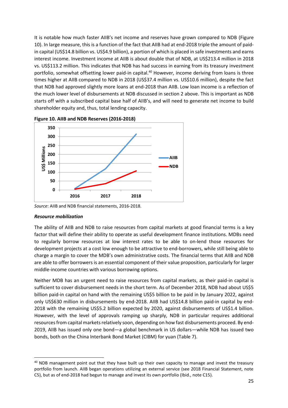It is notable how much faster AIIB's net income and reserves have grown compared to NDB (Figure 10). In large measure, this is a function of the fact that AIIB had at end-2018 triple the amount of paidin capital (US\$14.8 billion vs. US\$4.9 billion), a portion of which is placed in safe investments and earns interest income. Investment income at AIIB is about double that of NDB, at US\$213.4 million in 2018 vs. US\$113.2 million. This indicates that NDB has had success in earning from its treasury investment portfolio, somewhat offsetting lower paid-in capital.<sup>40</sup> However, income deriving from loans is three times higher at AIIB compared to NDB in 2018 (US\$37.4 million vs. US\$10.6 million), despite the fact that NDB had approved slightly more loans at end-2018 than AIIB. Low loan income is a reflection of the much lower level of disbursements at NDB discussed in section 2 above. This is important as NDB starts off with a subscribed capital base half of AIIB's, and will need to generate net income to build shareholder equity and, thus, total lending capacity.



**Figure 10. AIIB and NDB Reserves (2016-2018)**

*Source*: AIIB and NDB financial statements, 2016-2018.

#### *Resource mobilization*

The ability of AIIB and NDB to raise resources from capital markets at good financial terms is a key factor that will define their ability to operate as useful development finance institutions. MDBs need to regularly borrow resources at low interest rates to be able to on-lend those resources for development projects at a cost low enough to be attractive to end-borrowers, while still being able to charge a margin to cover the MDB's own administrative costs. The financial terms that AIIB and NDB are able to offer borrowers is an essential component of their value proposition, particularly for larger middle-income countries with various borrowing options.

Neither MDB has an urgent need to raise resources from capital markets, as their paid-in capital is sufficient to cover disbursement needs in the short term. As of December 2018, NDB had about US\$5 billion paid-in capital on hand with the remaining US\$5 billion to be paid in by January 2022, against only US\$630 million in disbursements by end-2018. AIIB had US\$14.8 billion paid-in capital by end-2018 with the remaining US\$5.2 billion expected by 2020, against disbursements of US\$1.4 billion. However, with the level of approvals ramping up sharply, NDB in particular requires additional resources from capital markets relatively soon, depending on how fast disbursements proceed. By end-2019, AIIB has issued only one bond—a global benchmark in US dollars—while NDB has issued two bonds, both on the China Interbank Bond Market (CIBM) for yuan (Table 7).

<sup>&</sup>lt;sup>40</sup> NDB management point out that they have built up their own capacity to manage and invest the treasury portfolio from launch. AIIB began operations utilizing an external service (see 2018 Financial Statement, note C5), but as of end-2018 had begun to manage and invest its own portfolio (Ibid., note C15).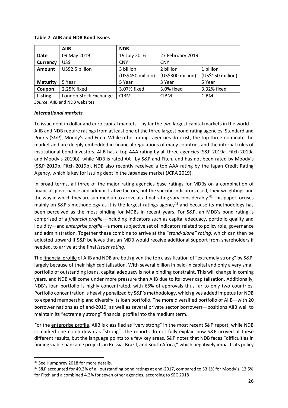#### **Table 7. AIIB and NDB Bond Issues**

|                 | <b>AIIB</b>           | <b>NDB</b>        |                   |                   |
|-----------------|-----------------------|-------------------|-------------------|-------------------|
| <b>Date</b>     | 09 May 2019           | 19 July 2016      | 27 February 2019  |                   |
| <b>Currency</b> | US\$                  | <b>CNY</b>        | <b>CNY</b>        |                   |
| <b>Amount</b>   | US\$2.5 billion       | 3 billion         | 2 billion         | 1 billion         |
|                 |                       | (US\$450 million) | (US\$300 million) | (US\$150 million) |
| <b>Maturity</b> | 5 Year                | 5 Year            | 3 Year            | 5 Year            |
| Coupon          | 2.25% fixed           | 3.07% fixed       | 3.0% fixed        | 3.32% fixed       |
| <b>Listing</b>  | London Stock Exchange | <b>CIBM</b>       | <b>CIBM</b>       | <b>CIBM</b>       |

*Source*: AIIB and NDB websites.

#### *International markets*

To issue debt in dollar and euro capital markets—by far the two largest capital markets in the world— AIIB and NDB require ratings from at least one of the three largest bond rating agencies: Standard and Poor's (S&P), Moody's and Fitch. While other ratings agencies do exist, the top three dominate the market and are deeply embedded in financial regulations of many countries and the internal rules of institutional bond investors. AIIB has a top AAA rating by all three agencies (S&P 2019a, Fitch 2019a and Moody's 2019b), while NDB is rated AA+ by S&P and Fitch, and has not been rated by Moody's (S&P 2019b, Fitch 2019b). NDB also recently received a top AAA rating by the Japan Credit Rating Agency, which is key for issuing debt in the Japanese market (JCRA 2019).

In broad terms, all three of the major rating agencies base ratings for MDBs on a combination of financial, governance and administrative factors, but the specific indicators used, their weightings and the way in which they are summed up to arrive at a final rating vary considerably.<sup>41</sup> This paper focuses mainly on S&P's methodology as it is the largest ratings agency<sup>42</sup> and because its methodology has been perceived as the most binding for MDBs in recent years. For S&P, an MDB's bond rating is comprised of a *financial profile*—including indicators such as capital adequacy, portfolio quality and liquidity—and *enterprise profile*—a more subjective set of indicators related to policy role, governance and administration. Together these combine to arrive at the "*stand-alone" rating*, which can then be adjusted upward if S&P believes that an MDB would receive additional support from shareholders if needed, to arrive at the final *issuer rating*.

The financial profile of AIIB and NDB are both given the top classification of "extremely strong" by S&P, largely because of their high capitalization. With several billion in paid-in capital and only a very small portfolio of outstanding loans, capital adequacy is not a binding constraint. This will change in coming years, and NDB will come under more pressure than AIIB due to its lower capitalization. Additionally, NDB's loan portfolio is highly concentrated, with 65% of approvals thus far to only two countries. Portfolio concentration is heavily penalized by S&P's methodology, which gives added impetus for NDB to expand membership and diversify its loan portfolio. The more diversified portfolio of AIIB—with 20 borrower nations as of end-2019, as well as several private sector borrowers—positions AIIB well to maintain its "extremely strong" financial profile into the medium term.

For the enterprise profile, AIIB is classified as "very strong" in the most recent S&P report, while NDB is marked one notch down as "strong". The reports do not fully explain how S&P arrived at these different results, but the language points to a few key areas. S&P notes that NDB faces "difficulties in finding viable bankable projects in Russia, Brazil, and South Africa," which negatively impacts its policy

<sup>&</sup>lt;sup>41</sup> See Humphrey 2018 for more details.

<sup>42</sup> S&P accounted for 49.2% of all outstanding bond ratings at end-2017, compared to 33.1% for Moody's, 13.5% for Fitch and a combined 4.2% for seven other agencies, according to SEC 2018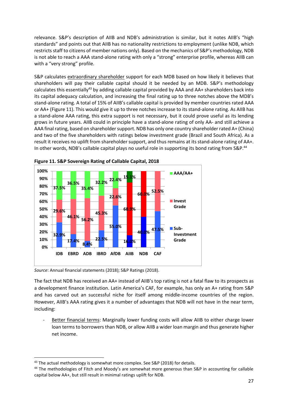relevance. S&P's description of AIIB and NDB's administration is similar, but it notes AIIB's "high standards" and points out that AIIB has no nationality restrictions to employment (unlike NDB, which restricts staff to citizens of member nations only). Based on the mechanics of S&P's methodology, NDB is not able to reach a AAA stand-alone rating with only a "strong" enterprise profile, whereas AIIB can with a "very strong" profile.

S&P calculates extraordinary shareholder support for each MDB based on how likely it believes that shareholders will pay their callable capital should it be needed by an MDB. S&P's methodology calculates this essentially<sup>43</sup> by adding callable capital provided by AAA and AA+ shareholders back into its capital adequacy calculation, and increasing the final rating up to three notches above the MDB's stand-alone rating. A total of 15% of AIIB's callable capital is provided by member countries rated AAA or AA+ (Figure 11). This would give it up to three notches increase to its stand-alone rating. As AIIB has a stand-alone AAA rating, this extra support is not necessary, but it could prove useful as its lending grows in future years. AIIB could in principle have a stand-alone rating of only AA- and still achieve a AAA final rating, based on shareholder support. NDB has only one country shareholder rated A+ (China) and two of the five shareholders with ratings below investment grade (Brazil and South Africa). As a result it receives no uplift from shareholder support, and thus remains at its stand-alone rating of AA+. In other words, NDB's callable capital plays no useful role in supporting its bond rating from S&P.<sup>44</sup>





*Source*: Annual financial statements (2018); S&P Ratings (2018).

The fact that NDB has received an AA+ instead of AIIB's top rating is not a fatal flaw to its prospects as a development finance institution. Latin America's CAF, for example, has only an A+ rating from S&P and has carved out an successful niche for itself among middle-income countries of the region. However, AIIB's AAA rating gives it a number of advantages that NDB will not have in the near term, including:

Better financial terms: Marginally lower funding costs will allow AIIB to either charge lower loan terms to borrowers than NDB, or allow AIIB a wider loan margin and thus generate higher net income.

<sup>&</sup>lt;sup>43</sup> The actual methodology is somewhat more complex. See S&P (2018) for details.

<sup>&</sup>lt;sup>44</sup> The methodologies of Fitch and Moody's are somewhat more generous than S&P in accounting for callable capital below AA+, but still result in minimal ratings uplift for NDB.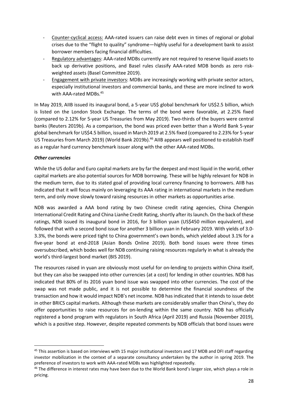- Counter-cyclical access: AAA-rated issuers can raise debt even in times of regional or global crises due to the "flight to quality" syndrome—highly useful for a development bank to assist borrower members facing financial difficulties.
- Regulatory advantages: AAA-rated MDBs currently are not required to reserve liquid assets to back up derivative positions, and Basel rules classify AAA-rated MDB bonds as zero riskweighted assets (Basel Committee 2019).
- Engagement with private investors: MDBs are increasingly working with private sector actors, especially institutional investors and commercial banks, and these are more inclined to work with AAA-rated MDBs.<sup>45</sup>

In May 2019, AIIB issued its inaugural bond, a 5-year US\$ global benchmark for US\$2.5 billion, which is listed on the London Stock Exchange. The terms of the bond were favorable, at 2.25% fixed (compared to 2.12% for 5-year US Treasuries from May 2019). Two-thirds of the buyers were central banks (Reuters 2019b). As a comparison, the bond was priced even better than a World Bank 5-year global benchmark for US\$4.5 billion, issued in March 2019 at 2.5% fixed (compared to 2.23% for 5-year US Treasuries from March 2019) (World Bank 2019b).<sup>46</sup> AIIB appears well positioned to establish itself as a regular hard currency benchmark issuer along with the other AAA-rated MDBs.

## *Other currencies*

While the US dollar and Euro capital markets are by far the deepest and most liquid in the world, other capital markets are also potential sources for MDB borrowing. These will be highly relevant for NDB in the medium term, due to its stated goal of providing local currency financing to borrowers. AIIB has indicated that it will focus mainly on leveraging its AAA rating in international markets in the medium term, and only move slowly toward raising resources in other markets as opportunities arise.

NDB was awarded a AAA bond rating by two Chinese credit rating agencies, China Chengxin International Credit Rating and China Lianhe Credit Rating, shortly after its launch. On the back of these ratings, NDB issued its inaugural bond in 2016, for 3 billion yuan (US\$450 million equivalent), and followed that with a second bond issue for another 3 billion yuan in February 2019. With yields of 3.0- 3.3%, the bonds were priced tight to China government's own bonds, which yielded about 3.1% for a five-year bond at end-2018 (Asian Bonds Online 2019). Both bond issues were three times oversubscribed, which bodes well for NDB continuing raising resources regularly in what is already the world's third-largest bond market (BIS 2019).

The resources raised in yuan are obviously most useful for on-lending to projects within China itself, but they can also be swapped into other currencies (at a cost) for lending in other countries. NDB has indicated that 80% of its 2016 yuan bond issue was swapped into other currencies. The cost of the swap was not made public, and it is not possible to determine the financial soundness of the transaction and how it would impact NDB's net income. NDB has indicated that it intends to issue debt in other BRICS capital markets. Although these markets are considerably smaller than China's, they do offer opportunities to raise resources for on-lending within the same country. NDB has officially registered a bond program with regulators in South Africa (April 2019) and Russia (November 2019), which is a positive step. However, despite repeated comments by NDB officials that bond issues were

<sup>&</sup>lt;sup>45</sup> This assertion is based on interviews with 15 major institutional investors and 17 MDB and DFI staff regarding investor mobilization in the context of a separate consultancy undertaken by the author in spring 2019. The preference of investors to work with AAA-rated MDBs was highlighted repeatedly.

<sup>&</sup>lt;sup>46</sup> The difference in interest rates may have been due to the World Bank bond's larger size, which plays a role in pricing.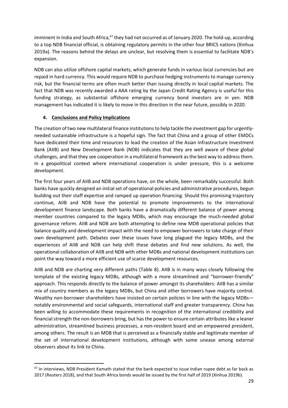imminent in India and South Africa,<sup>47</sup> they had not occurred as of January 2020. The hold-up, according to a top NDB financial official, is obtaining regulatory permits in the other four BRICS nations (Xinhua 2019a). The reasons behind the delays are unclear, but resolving them is essential to facilitate NDB's expansion.

NDB can also utilize offshore capital markets, which generate funds in various local currencies but are repaid in hard currency. This would require NDB to purchase hedging instruments to manage currency risk, but the financial terms are often much better than issuing directly in local capital markets. The fact that NDB was recently awarded a AAA rating by the Japan Credit Rating Agency is useful for this funding strategy, as substantial offshore emerging currency bond investors are in yen. NDB management has indicated it is likely to move in this direction in the near future, possibly in 2020.

# **4. Conclusions and Policy Implications**

The creation of two new multilateral finance institutions to help tackle the investment gap for urgentlyneeded sustainable infrastructure is a hopeful sign. The fact that China and a group of other EMDCs have dedicated their time and resources to lead the creation of the Asian Infrastructure Investment Bank (AIIB) and New Development Bank (NDB) indicates that they are well aware of these global challenges, and that they see cooperation in a multilateral framework as the best way to address them. In a geopolitical context where international cooperation is under pressure, this is a welcome development.

The first four years of AIIB and NDB operations have, on the whole, been remarkably successful. Both banks have quickly designed an initial set of operational policies and administrative procedures, begun building out their staff expertise and ramped up operation financing. Should this promising trajectory continue, AIIB and NDB have the potential to promote improvements to the international development finance landscape. Both banks have a dramatically different balance of power among member countries compared to the legacy MDBs, which may encourage the much-needed global governance reform. AIIB and NDB are both attempting to define new MDB operational policies that balance quality and development impact with the need to empower borrowers to take charge of their own development path. Debates over these issues have long plagued the legacy MDBs, and the experiences of AIIB and NDB can help shift these debates and find new solutions. As well, the operational collaboration of AIIB and NDB with other MDBs and national development institutions can point the way toward a more efficient use of scarce development resources.

AIIB and NDB are charting very different paths (Table 8). AIIB is in many ways closely following the template of the existing legacy MDBs, although with a more streamlined and "borrower-friendly" approach. This responds directly to the balance of power amongst its shareholders: AIIB has a similar mix of country members as the legacy MDBs, but China and other borrowers have majority control. Wealthy non-borrower shareholders have insisted on certain policies in line with the legacy MDBs notably environmental and social safeguards, international staff and greater transparency. China has been willing to accommodate these requirements in recognition of the international credibility and financial strength the non-borrowers bring, but has the power to ensure certain attributes like a leaner administration, streamlined business processes, a non-resident board and an empowered president, among others. The result is an MDB that is perceived as a financially stable and legitimate member of the set of international development institutions, although with some unease among external observers about its link to China.

<sup>&</sup>lt;sup>47</sup> In interviews, NDB President Kamath stated that the bank expected to issue Indian rupee debt as far back as 2017 (Reuters 2018), and that South Africa bonds would be issued by the first half of 2019 (Xinhua 2019b).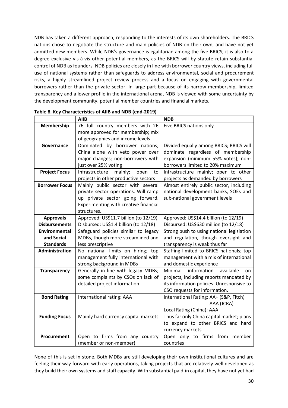NDB has taken a different approach, responding to the interests of its own shareholders. The BRICS nations chose to negotiate the structure and main policies of NDB on their own, and have not yet admitted new members. While NDB's governance is egalitarian among the five BRICS, it is also to a degree exclusive vis-à-vis other potential members, as the BRICS will by statute retain substantial control of NDB as founders. NDB policies are closely in line with borrower country views, including full use of national systems rather than safeguards to address environmental, social and procurement risks, a highly streamlined project review process and a focus on engaging with governmental borrowers rather than the private sector. In large part because of its narrow membership, limited transparency and a lower profile in the international arena, NDB is viewed with some uncertainty by the development community, potential member countries and financial markets.

|                       | <b>AIIB</b><br><b>NDB</b>                                  |                                            |  |
|-----------------------|------------------------------------------------------------|--------------------------------------------|--|
| Membership            | 76 full country members with 26<br>Five BRICS nations only |                                            |  |
|                       | more approved for membership; mix                          |                                            |  |
|                       | of geographies and income levels                           |                                            |  |
| Governance            | Dominated by borrower nations;                             | Divided equally among BRICS; BRICS will    |  |
|                       | China alone with veto power over                           | dominate regardless of membership          |  |
|                       | major changes; non-borrowers with                          | expansion (minimum 55% votes); non-        |  |
|                       | just over 25% voting                                       | borrowers limited to 20% maximum           |  |
| <b>Project Focus</b>  | Infrastructure<br>mainly;<br>open<br>to                    | Infrastructure mainly; open to other       |  |
|                       | projects in other productive sectors                       | projects as demanded by borrowers          |  |
| <b>Borrower Focus</b> | Mainly public sector with several                          | Almost entirely public sector, including   |  |
|                       | private sector operations. Will ramp                       | national development banks, SOEs and       |  |
|                       | up private sector going forward.                           | sub-national government levels             |  |
|                       | Experimenting with creative financial                      |                                            |  |
|                       | structures.                                                |                                            |  |
| <b>Approvals</b>      | Approved: US\$11.7 billion (to 12/19)                      | Approved: US\$14.4 billion (to 12/19)      |  |
| <b>Disbursements</b>  | Disbursed: US\$1.4 billion (to 12/18)                      | Disbursed: US\$630 million (to 12/18)      |  |
| <b>Environmental</b>  | Safeguard policies similar to legacy                       | Strong push to using national legislation  |  |
| and Social            | MDBs, though more streamlined and                          | and regulation, though oversight and       |  |
| <b>Standards</b>      | less prescriptive                                          | transparency is weak thus far              |  |
| Administration        | No national limits on hiring; top                          | Staffing limited to BRICS nationals; top   |  |
|                       | management fully international with                        | management with a mix of international     |  |
|                       | strong background in MDBs                                  | and domestic experience                    |  |
| <b>Transparency</b>   | Generally in line with legacy MDBs;                        | information<br>available<br>Minimal<br>on. |  |
|                       | some complaints by CSOs on lack of                         | projects, including reports mandated by    |  |
|                       | detailed project information                               | its information policies. Unresponsive to  |  |
|                       |                                                            | CSO requests for information.              |  |
| <b>Bond Rating</b>    | International rating: AAA                                  | International Rating: AA+ (S&P, Fitch)     |  |
|                       |                                                            | AAA (JCRA)                                 |  |
|                       |                                                            | Local Rating (China): AAA                  |  |
| <b>Funding Focus</b>  | Mainly hard currency capital markets                       | Thus far only China capital market; plans  |  |
|                       |                                                            | to expand to other BRICS and hard          |  |
|                       |                                                            | currency markets                           |  |
| Procurement           | Open to firms from any country                             | Open only to firms from member             |  |
|                       | (member or non-member)                                     | countries                                  |  |

|  | Table 8. Key Characteristics of AIIB and NDB (end-2019) |
|--|---------------------------------------------------------|
|--|---------------------------------------------------------|

None of this is set in stone. Both MDBs are still developing their own institutional cultures and are feeling their way forward with early operations, taking projects that are relatively well developed as they build their own systems and staff capacity. With substantial paid-in capital, they have not yet had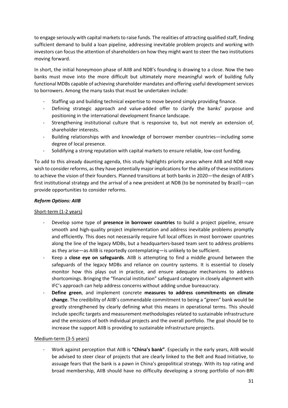to engage seriously with capital markets to raise funds. The realities of attracting qualified staff, finding sufficient demand to build a loan pipeline, addressing inevitable problem projects and working with investors can focus the attention of shareholders on how they might want to steer the two institutions moving forward.

In short, the initial honeymoon phase of AIIB and NDB's founding is drawing to a close. Now the two banks must move into the more difficult but ultimately more meaningful work of building fully functional MDBs capable of achieving shareholder mandates and offering useful development services to borrowers. Among the many tasks that must be undertaken include:

- Staffing up and building technical expertise to move beyond simply providing finance.
- Defining strategic approach and value-added offer to clarify the banks' purpose and positioning in the international development finance landscape.
- Strengthening institutional culture that is responsive to, but not merely an extension of, shareholder interests.
- Building relationships with and knowledge of borrower member countries—including some degree of local presence.
- Solidifying a strong reputation with capital markets to ensure reliable, low-cost funding.

To add to this already daunting agenda, this study highlights priority areas where AIIB and NDB may wish to consider reforms, as they have potentially major implications for the ability of these institutions to achieve the vision of their founders. Planned transitions at both banks in 2020—the design of AIIB's first institutional strategy and the arrival of a new president at NDB (to be nominated by Brazil)—can provide opportunities to consider reforms.

## *Reform Options: AIIB*

## Short-term (1-2 years)

- Develop some type of **presence in borrower countries** to build a project pipeline, ensure smooth and high-quality project implementation and address inevitable problems promptly and efficiently. This does not necessarily require full local offices in most borrower countries along the line of the legacy MDBs, but a headquarters-based team sent to address problems as they arise—as AIIB is reportedly contemplating—is unlikely to be sufficient.
- Keep a **close eye on safeguards**. AIIB is attempting to find a middle ground between the safeguards of the legacy MDBs and reliance on country systems. It is essential to closely monitor how this plays out in practice, and ensure adequate mechanisms to address shortcomings. Bringing the "financial institution" safeguard category in closely alignment with IFC's approach can help address concerns without adding undue bureaucracy.
- **Define green**, and implement concrete **measures to address commitments on climate change**. The credibility of AIIB's commendable commitment to being a "green" bank would be greatly strengthened by clearly defining what this means in operational terms. This should include specific targets and measurement methodologies related to sustainable infrastructure and the emissions of both individual projects and the overall portfolio. The goal should be to increase the support AIIB is providing to sustainable infrastructure projects.

## Medium-term (3-5 years)

- Work against perception that AIIB is **"China's bank"**. Especially in the early years, AIIB would be advised to steer clear of projects that are clearly linked to the Belt and Road Initiative, to assuage fears that the bank is a pawn in China's geopolitical strategy. With its top rating and broad membership, AIIB should have no difficulty developing a strong portfolio of non-BRI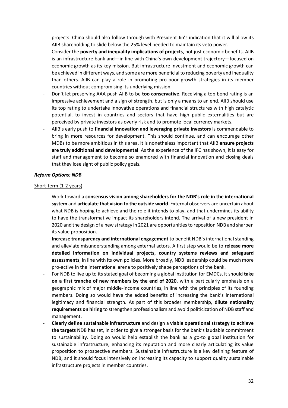projects. China should also follow through with President Jin's indication that it will allow its AIIB shareholding to slide below the 25% level needed to maintain its veto power.

- Consider the **poverty and inequality implications of projects**, not just economic benefits. AIIB is an infrastructure bank and—in line with China's own development trajectory—focused on economic growth as its key mission. But infrastructure investment and economic growth can be achieved in different ways, and some are more beneficial to reducing poverty and inequality than others. AIIB can play a role in promoting pro-poor growth strategies in its member countries without compromising its underlying mission.
- Don't let preserving AAA push AIIB to be **too conservative**. Receiving a top bond rating is an impressive achievement and a sign of strength, but is only a means to an end. AIIB should use its top rating to undertake innovative operations and financial structures with high catalytic potential, to invest in countries and sectors that have high public externalities but are perceived by private investors as overly risk and to promote local currency markets.
- AIIB's early push to **financial innovation and leveraging private investors** is commendable to bring in more resources for development. This should continue, and can encourage other MDBs to be more ambitious in this area. It is nonetheless important that AIIB **ensure projects are truly additional and developmental**. As the experience of the IFC has shown, it is easy for staff and management to become so enamored with financial innovation and closing deals that they lose sight of public policy goals.

#### *Reform Options: NDB*

#### Short-term (1-2 years)

- Work toward a **consensus vision among shareholders for the NDB's role in the international system** and **articulate that vision to the outside world**. External observers are uncertain about what NDB is hoping to achieve and the role it intends to play, and that undermines its ability to have the transformative impact its shareholders intend. The arrival of a new president in 2020 and the design of a new strategy in 2021 are opportunities to reposition NDB and sharpen its value proposition.
- **Increase transparency and international engagement** to benefit NDB's international standing and alleviate misunderstanding among external actors. A first step would be to **release more detailed information on individual projects, country systems reviews and safeguard assessments**, in line with its own policies. More broadly, NDB leadership could be much more pro-active in the international arena to positively shape perceptions of the bank.
- For NDB to live up to its stated goal of becoming a global institution for EMDCs, it should **take on a first tranche of new members by the end of 2020**, with a particularly emphasis on a geographic mix of major middle-income countries, in line with the principles of its founding members. Doing so would have the added benefits of increasing the bank's international legitimacy and financial strength. As part of this broader membership, **dilute nationality requirements on hiring** to strengthen professionalism and avoid politicization of NDB staff and management.
- **Clearly define sustainable infrastructure** and design a **viable operational strategy to achieve the targets** NDB has set, in order to give a stronger basis for the bank's laudable commitment to sustainability. Doing so would help establish the bank as a go-to global institution for sustainable infrastructure, enhancing its reputation and more clearly articulating its value proposition to prospective members. Sustainable infrastructure is a key defining feature of NDB, and it should focus intensively on increasing its capacity to support quality sustainable infrastructure projects in member countries.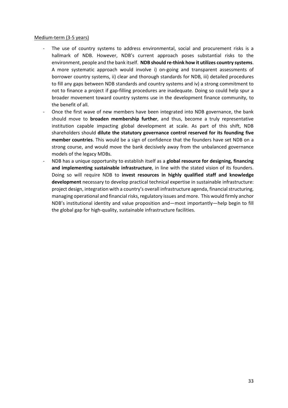#### Medium-term (3-5 years)

- The use of country systems to address environmental, social and procurement risks is a hallmark of NDB. However, NDB's current approach poses substantial risks to the environment, people and the bank itself. **NDB should re-think how it utilizes country systems**. A more systematic approach would involve i) on-going and transparent assessments of borrower country systems, ii) clear and thorough standards for NDB, iii) detailed procedures to fill any gaps between NDB standards and country systems and iv) a strong commitment to not to finance a project if gap-filling procedures are inadequate. Doing so could help spur a broader movement toward country systems use in the development finance community, to the benefit of all.
- Once the first wave of new members have been integrated into NDB governance, the bank should move to **broaden membership further**, and thus, become a truly representative institution capable impacting global development at scale. As part of this shift, NDB shareholders should **dilute the statutory governance control reserved for its founding five member countries**. This would be a sign of confidence that the founders have set NDB on a strong course, and would move the bank decisively away from the unbalanced governance models of the legacy MDBs.
- NDB has a unique opportunity to establish itself as a **global resource for designing, financing and implementing sustainable infrastructure**, in line with the stated vision of its founders. Doing so will require NDB to **invest resources in highly qualified staff and knowledge development** necessary to develop practical technical expertise in sustainable infrastructure: project design, integration with a country's overall infrastructure agenda, financial structuring, managing operational and financial risks, regulatory issues and more. This would firmly anchor NDB's institutional identity and value proposition and—most importantly—help begin to fill the global gap for high-quality, sustainable infrastructure facilities.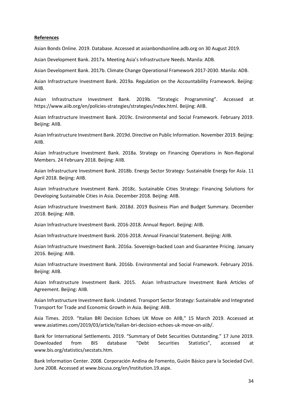#### **References**

Asian Bonds Online. 2019. Database. Accessed at asianbondsonline.adb.org on 30 August 2019.

Asian Development Bank. 2017a. Meeting Asia's Infrastructure Needs. Manila: ADB.

Asian Development Bank. 2017b. Climate Change Operational Framework 2017-2030. Manila: ADB.

Asian Infrastructure Investment Bank. 2019a. Regulation on the Accountability Framework. Beijing: AIIB.

Asian Infrastructure Investment Bank. 2019b. "Strategic Programming". Accessed at https://www.aiib.org/en/policies-strategies/strategies/index.html. Beijing: AIIB.

Asian Infrastructure Investment Bank. 2019c. Environmental and Social Framework. February 2019. Beijing: AIIB.

Asian Infrastructure Investment Bank. 2019d. Directive on Public Information. November 2019. Beijing: AIIB.

Asian Infrastructure Investment Bank. 2018a. Strategy on Financing Operations in Non-Regional Members. 24 February 2018. Beijing: AIIB.

Asian Infrastructure Investment Bank. 2018b. Energy Sector Strategy: Sustainable Energy for Asia. 11 April 2018. Beijing: AIIB.

Asian Infrastructure Investment Bank. 2018c. Sustainable Cities Strategy: Financing Solutions for Developing Sustainable Cities in Asia. December 2018. Beijing: AIIB.

Asian Infrastructure Investment Bank. 2018d. 2019 Business Plan and Budget Summary. December 2018. Beijing: AIIB.

Asian Infrastructure Investment Bank. 2016-2018. Annual Report. Beijing: AIIB.

Asian Infrastructure Investment Bank. 2016-2018. Annual Financial Statement. Beijing: AIIB.

Asian Infrastructure Investment Bank. 2016a. Sovereign-backed Loan and Guarantee Pricing. January 2016. Beijing: AIIB.

Asian Infrastructure Investment Bank. 2016b. Environmental and Social Framework. February 2016. Beijing: AIIB.

Asian Infrastructure Investment Bank. 2015. Asian Infrastructure Investment Bank Articles of Agreement. Beijing: AIIB.

Asian Infrastructure Investment Bank. Undated. Transport Sector Strategy: Sustainable and Integrated Transport for Trade and Economic Growth in Asia. Beijing: AIIB.

Asia Times. 2019. "Italian BRI Decision Echoes UK Move on AIIB," 15 March 2019. Accessed at www.asiatimes.com/2019/03/article/italian-bri-decision-echoes-uk-move-on-aiib/.

Bank for International Settlements. 2019. "Summary of Debt Securities Outstanding." 17 June 2019. Downloaded from BIS database "Debt Securities Statistics", accessed at www.bis.org/statistics/secstats.htm.

Bank Information Center. 2008. Corporación Andina de Fomento, Guión Básico para la Sociedad Civil. June 2008. Accessed at www.bicusa.org/en/Institution.19.aspx.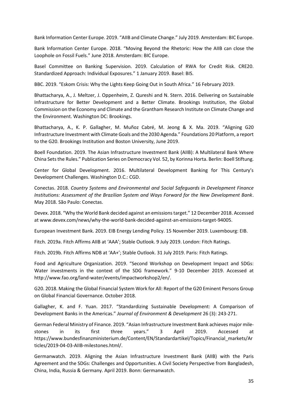Bank Information Center Europe. 2019. "AIIB and Climate Change." July 2019. Amsterdam: BIC Europe.

Bank Information Center Europe. 2018. "Moving Beyond the Rhetoric: How the AIIB can close the Loophole on Fossil Fuels." June 2018. Amsterdam: BIC Europe.

Basel Committee on Banking Supervision. 2019. Calculation of RWA for Credit Risk. CRE20. Standardized Approach: Individual Exposures." 1 January 2019. Basel: BIS.

BBC. 2019. "Eskom Crisis: Why the Lights Keep Going Out in South Africa." 16 February 2019.

Bhattacharya, A., J. Meltzer, J. Oppenheim, Z. Qureshi and N. Stern. 2016. Delivering on Sustainable Infrastructure for Better Development and a Better Climate. Brookings Institution, the Global Commission on the Economy and Climate and the Grantham Research Institute on Climate Change and the Environment. Washington DC: Brookings.

Bhattacharya, A., K. P. Gallagher, M. Muñoz Cabré, M. Jeong & X. Ma. 2019. "Aligning G20 Infrastructure Investment with Climate Goals and the 2030 Agenda." Foundations 20 Platform, a report to the G20. Brookings Institution and Boston University, June 2019.

Boell Foundation. 2019. The Asian Infrastructure Investment Bank (AIIB): A Multilateral Bank Where China Setsthe Rules." Publication Series on Democracy Vol. 52, by Korinna Horta. Berlin: Boell Stiftung.

Center for Global Development. 2016. Multilateral Development Banking for This Century's Development Challenges. Washington D.C.: CGD.

Conectas. 2018. *Country Systems and Environmental and Social Safeguards in Development Finance Institutions: Assessment of the Brazilian System and Ways Forward for the New Development Bank*. May 2018. São Paulo: Conectas.

Devex. 2018. "Why the World Bank decided against an emissionstarget." 12 December 2018. Accessed at www.devex.com/news/why-the-world-bank-decided-against-an-emissions-target-94005.

European Investment Bank. 2019. EIB Energy Lending Policy. 15 November 2019. Luxembourg: EIB.

Fitch. 2019a. Fitch Affirms AIIB at 'AAA'; Stable Outlook. 9 July 2019. London: Fitch Ratings.

Fitch. 2019b. Fitch Affirms NDB at 'AA+'; Stable Outlook. 31 July 2019. Paris: Fitch Ratings.

Food and Agriculture Organization. 2019. "Second Workshop on Development Impact and SDGs: Water investments in the context of the SDG framework." 9-10 December 2019. Accessed at http://www.fao.org/land-water/events/impactworkshop2/en/.

G20. 2018. Making the Global Financial System Work for All: Report of the G20 Eminent Persons Group on Global Financial Governance. October 2018.

Gallagher, K. and F. Yuan. 2017. "Standardizing Sustainable Development: A Comparison of Development Banks in the Americas." *Journal of Environment & Development* 26 (3): 243-271.

German Federal Ministry of Finance. 2019. "Asian Infrastructure Investment Bank achieves major milestones in its first three years." 3 April 2019. Accessed at https://www.bundesfinanzministerium.de/Content/EN/Standardartikel/Topics/Financial\_markets/Ar ticles/2019-04-03-AIIB-milestones.html/.

Germanwatch. 2019. Aligning the Asian Infrastructure Investment Bank (AIIB) with the Paris Agreement and the SDGs: Challenges and Opportunities. A Civil Society Perspective from Bangladesh, China, India, Russia & Germany. April 2019. Bonn: Germanwatch.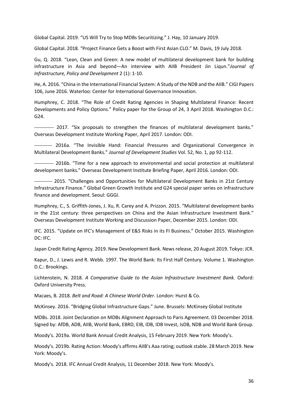Global Capital. 2019. "US Will Try to Stop MDBs Securitizing." J. Hay, 10 January 2019.

Global Capital. 2018. "Project Finance Gets a Boost with First Asian CLO." M. Davis, 19 July 2018.

Gu, Q. 2018. "Lean, Clean and Green: A new model of multilateral development bank for building infrastructure in Asia and beyond—An interview with AIIB President Jin Liqun."*Journal of Infrastructure, Policy and Development* 2 (1): 1-10.

He, A. 2016. "China in the International Financial System: A Study of the NDB and the AIIB." CIGI Papers 106, June 2016. Waterloo: Center for International Governance Innovation.

Humphrey, C. 2018. "The Role of Credit Rating Agencies in Shaping Multilateral Finance: Recent Developments and Policy Options." Policy paper for the Group of 24, 3 April 2018. Washington D.C.: G24.

------------ 2017. "Six proposals to strengthen the finances of multilateral development banks." Overseas Development Institute Working Paper, April 2017. London: ODI.

----------- 2016a. "The Invisible Hand: Financial Pressures and Organizational Convergence in Multilateral Development Banks." *Journal of Development Studies* Vol. 52, No. 1, pp 92-112.

------------ 2016b. "Time for a new approach to environmental and social protection at multilateral development banks." Overseas Development Institute Briefing Paper, April 2016. London: ODI.

----------- 2015. "Challenges and Opportunities for Multilateral Development Banks in 21st Century Infrastructure Finance." Global Green Growth Institute and G24 special paper series on infrastructure finance and development. Seoul: GGGI.

Humphrey, C., S. Griffith-Jones, J. Xu, R. Carey and A. Prizzon. 2015. "Multilateral development banks in the 21st century: three perspectives on China and the Asian Infrastructure Investment Bank." Overseas Development Institute Working and Discussion Paper, December 2015. London: ODI.

IFC. 2015. "Update on IFC's Management of E&S Risks in its FI Business." October 2015. Washington DC: IFC.

Japan Credit Rating Agency. 2019. New Development Bank. News release, 20 August 2019. Tokyo: JCR.

Kapur, D., J. Lewis and R. Webb. 1997. The World Bank: Its First Half Century. Volume 1. Washington D.C.: Brookings.

Lichtenstein, N. 2018. *A Comparative Guide to the Asian Infrastructure Investment Bank.* Oxford: Oxford University Press.

Macaes, B. 2018. *Belt and Road: A Chinese World Order*. London: Hurst & Co.

McKinsey. 2016. "Bridging Global Infrastructure Gaps." June. Brussels: McKinsey Global Institute

MDBs. 2018. Joint Declaration on MDBs Alignment Approach to Paris Agreement. 03 December 2018. Signed by: AfDB, ADB, AIIB, World Bank, EBRD, EIB, IDB, IDB Invest, IsDB, NDB and World Bank Group.

Moody's. 2019a. World Bank Annual Credit Analysis, 15 February 2019. New York: Moody's.

Moody's. 2019b. Rating Action: Moody's affirms AIIB's Aaa rating; outlook stable. 28 March 2019. New York: Moody's.

Moody's. 2018. IFC Annual Credit Analysis, 11 December 2018. New York: Moody's.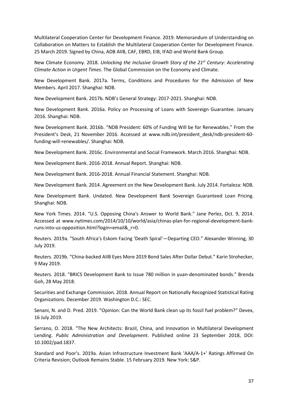Multilateral Cooperation Center for Development Finance. 2019. Memorandum of Understanding on Collaboration on Matters to Establish the Multilateral Cooperation Center for Development Finance. 25 March 2019. Signed by China, ADB AIIB, CAF, EBRD, EIB, IFAD and World Bank Group.

New Climate Economy. 2018. *Unlocking the Inclusive Growth Story of the 21st Century: Accelerating Climate Action in Urgent Times*. The Global Commission on the Economy and Climate.

New Development Bank. 2017a. Terms, Conditions and Procedures for the Admission of New Members. April 2017. Shanghai: NDB.

New Development Bank. 2017b. NDB's General Strategy: 2017-2021. Shanghai: NDB.

New Development Bank. 2016a. Policy on Processing of Loans with Sovereign Guarantee. January 2016. Shanghai: NDB.

New Development Bank. 2016b. "NDB President: 60% of Funding Will be for Renewables." From the President's Desk, 21 November 2016. Accessed at www.ndb.int/president\_desk/ndb-president-60 funding-will-renewables/. Shanghai: NDB.

New Development Bank. 2016c. Environmental and Social Framework. March 2016. Shanghai: NDB.

New Development Bank. 2016-2018. Annual Report. Shanghai: NDB.

New Development Bank. 2016-2018. Annual Financial Statement. Shanghai: NDB.

New Development Bank. 2014. Agreement on the New Development Bank. July 2014. Fortaleza: NDB.

New Development Bank. Undated. New Development Bank Sovereign Guaranteed Loan Pricing. Shanghai: NDB.

New York Times. 2014. "U.S. Opposing China's Answer to World Bank." Jane Perlez, Oct. 9, 2014. Accessed at www.nytimes.com/2014/10/10/world/asia/chinas-plan-for-regional-development-bankruns-into-us-opposition.html?login=email&\_r=0.

Reuters. 2019a. "South Africa's Eskom Facing 'Death Spiral'—Departing CEO." Alexander Winning, 30 July 2019.

Reuters. 2019b. "China-backed AIIB Eyes More 2019 Bond Sales After Dollar Debut." Karin Strohecker, 9 May 2019.

Reuters. 2018. "BRICS Development Bank to Issue 780 million in yuan-denominated bonds." Brenda Goh, 28 May 2018.

Securities and Exchange Commission. 2018. Annual Report on Nationally Recognized Statistical Rating Organizations. December 2019. Washington D.C.: SEC.

Senani, N. and D. Pred. 2019. "Opinion: Can the World Bank clean up its fossil fuel problem?" Devex, 16 July 2019.

Serrano, O. 2018. "The New Architects: Brazil, China, and Innovation in Multilateral Development Lending. *Public Administration and Development*. Published online 23 September 2018, DOI: 10.1002/pad.1837.

Standard and Poor's. 2019a. Asian Infrastructure Investment Bank 'AAA/A-1+' Ratings Affirmed On Criteria Revision; Outlook Remains Stable. 15 February 2019. New York: S&P.